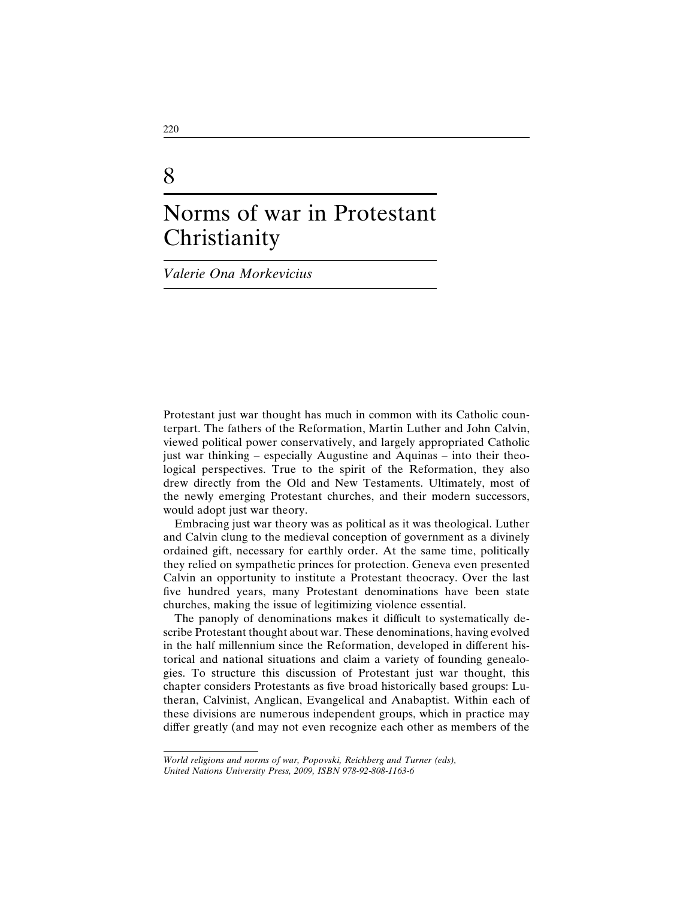# Norms of war in Protestant Christianity

Valerie Ona Morkevicius

Protestant just war thought has much in common with its Catholic counterpart. The fathers of the Reformation, Martin Luther and John Calvin, viewed political power conservatively, and largely appropriated Catholic just war thinking – especially Augustine and Aquinas – into their theological perspectives. True to the spirit of the Reformation, they also drew directly from the Old and New Testaments. Ultimately, most of the newly emerging Protestant churches, and their modern successors, would adopt just war theory.

Embracing just war theory was as political as it was theological. Luther and Calvin clung to the medieval conception of government as a divinely ordained gift, necessary for earthly order. At the same time, politically they relied on sympathetic princes for protection. Geneva even presented Calvin an opportunity to institute a Protestant theocracy. Over the last five hundred years, many Protestant denominations have been state churches, making the issue of legitimizing violence essential.

The panoply of denominations makes it difficult to systematically describe Protestant thought about war. These denominations, having evolved in the half millennium since the Reformation, developed in different historical and national situations and claim a variety of founding genealogies. To structure this discussion of Protestant just war thought, this chapter considers Protestants as five broad historically based groups: Lutheran, Calvinist, Anglican, Evangelical and Anabaptist. Within each of these divisions are numerous independent groups, which in practice may differ greatly (and may not even recognize each other as members of the

8

World religions and norms of war, Popovski, Reichberg and Turner (eds), United Nations University Press, 2009, ISBN 978-92-808-1163-6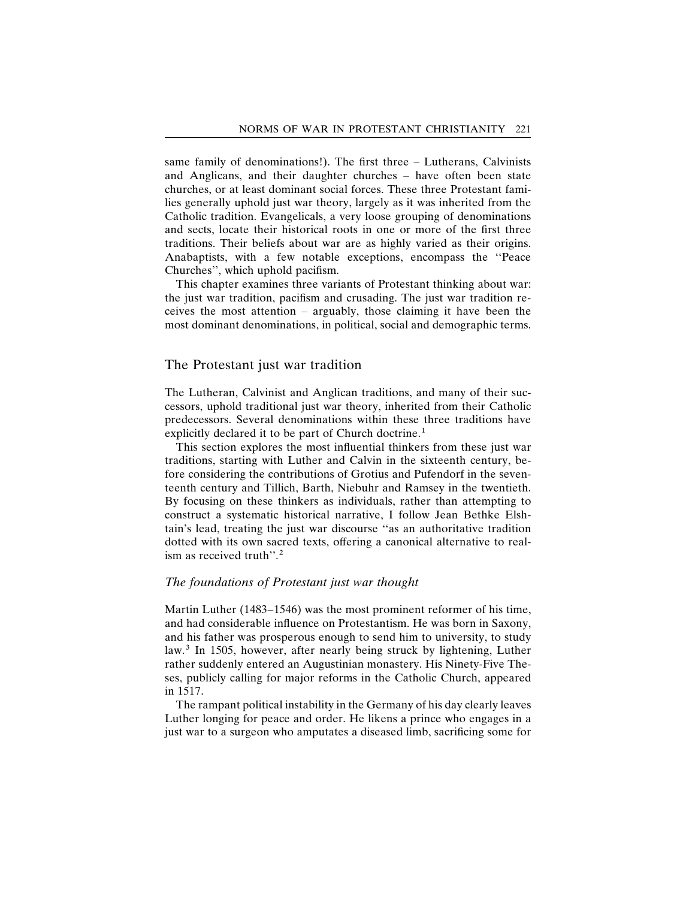same family of denominations!). The first three – Lutherans, Calvinists and Anglicans, and their daughter churches – have often been state churches, or at least dominant social forces. These three Protestant families generally uphold just war theory, largely as it was inherited from the Catholic tradition. Evangelicals, a very loose grouping of denominations and sects, locate their historical roots in one or more of the first three traditions. Their beliefs about war are as highly varied as their origins. Anabaptists, with a few notable exceptions, encompass the ''Peace Churches'', which uphold pacifism.

This chapter examines three variants of Protestant thinking about war: the just war tradition, pacifism and crusading. The just war tradition receives the most attention – arguably, those claiming it have been the most dominant denominations, in political, social and demographic terms.

## The Protestant just war tradition

The Lutheran, Calvinist and Anglican traditions, and many of their successors, uphold traditional just war theory, inherited from their Catholic predecessors. Several denominations within these three traditions have explicitly declared it to be part of Church doctrine.<sup>1</sup>

This section explores the most influential thinkers from these just war traditions, starting with Luther and Calvin in the sixteenth century, before considering the contributions of Grotius and Pufendorf in the seventeenth century and Tillich, Barth, Niebuhr and Ramsey in the twentieth. By focusing on these thinkers as individuals, rather than attempting to construct a systematic historical narrative, I follow Jean Bethke Elshtain's lead, treating the just war discourse ''as an authoritative tradition dotted with its own sacred texts, offering a canonical alternative to realism as received truth".<sup>2</sup>

## The foundations of Protestant just war thought

Martin Luther (1483–1546) was the most prominent reformer of his time, and had considerable influence on Protestantism. He was born in Saxony, and his father was prosperous enough to send him to university, to study law.<sup>3</sup> In 1505, however, after nearly being struck by lightening, Luther rather suddenly entered an Augustinian monastery. His Ninety-Five Theses, publicly calling for major reforms in the Catholic Church, appeared in 1517.

The rampant political instability in the Germany of his day clearly leaves Luther longing for peace and order. He likens a prince who engages in a just war to a surgeon who amputates a diseased limb, sacrificing some for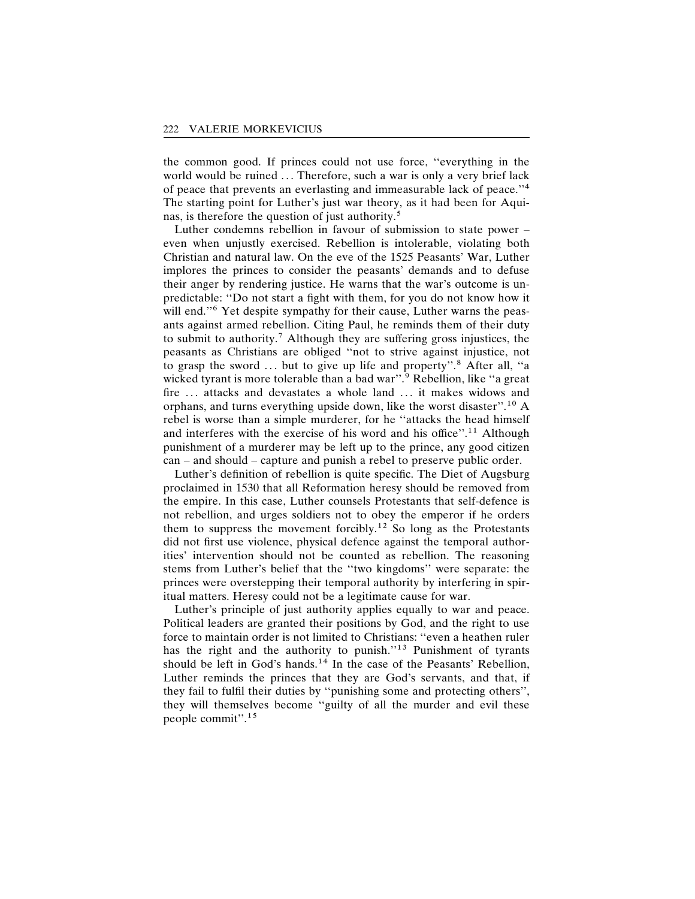the common good. If princes could not use force, ''everything in the world would be ruined ... Therefore, such a war is only a very brief lack of peace that prevents an everlasting and immeasurable lack of peace.''4 The starting point for Luther's just war theory, as it had been for Aquinas, is therefore the question of just authority.<sup>5</sup>

Luther condemns rebellion in favour of submission to state power – even when unjustly exercised. Rebellion is intolerable, violating both Christian and natural law. On the eve of the 1525 Peasants' War, Luther implores the princes to consider the peasants' demands and to defuse their anger by rendering justice. He warns that the war's outcome is unpredictable: ''Do not start a fight with them, for you do not know how it will end."<sup>6</sup> Yet despite sympathy for their cause, Luther warns the peasants against armed rebellion. Citing Paul, he reminds them of their duty to submit to authority.<sup>7</sup> Although they are suffering gross injustices, the peasants as Christians are obliged ''not to strive against injustice, not to grasp the sword  $\dots$  but to give up life and property".<sup>8</sup> After all, "a wicked tyrant is more tolerable than a bad war".<sup>9</sup> Rebellion, like "a great fire ... attacks and devastates a whole land ... it makes widows and orphans, and turns everything upside down, like the worst disaster''.10 A rebel is worse than a simple murderer, for he ''attacks the head himself and interferes with the exercise of his word and his office".<sup>11</sup> Although punishment of a murderer may be left up to the prince, any good citizen can – and should – capture and punish a rebel to preserve public order.

Luther's definition of rebellion is quite specific. The Diet of Augsburg proclaimed in 1530 that all Reformation heresy should be removed from the empire. In this case, Luther counsels Protestants that self-defence is not rebellion, and urges soldiers not to obey the emperor if he orders them to suppress the movement forcibly.<sup>12</sup> So long as the Protestants did not first use violence, physical defence against the temporal authorities' intervention should not be counted as rebellion. The reasoning stems from Luther's belief that the ''two kingdoms'' were separate: the princes were overstepping their temporal authority by interfering in spiritual matters. Heresy could not be a legitimate cause for war.

Luther's principle of just authority applies equally to war and peace. Political leaders are granted their positions by God, and the right to use force to maintain order is not limited to Christians: ''even a heathen ruler has the right and the authority to punish."<sup>13</sup> Punishment of tyrants should be left in God's hands.<sup>14</sup> In the case of the Peasants' Rebellion, Luther reminds the princes that they are God's servants, and that, if they fail to fulfil their duties by ''punishing some and protecting others'', they will themselves become ''guilty of all the murder and evil these people commit''.15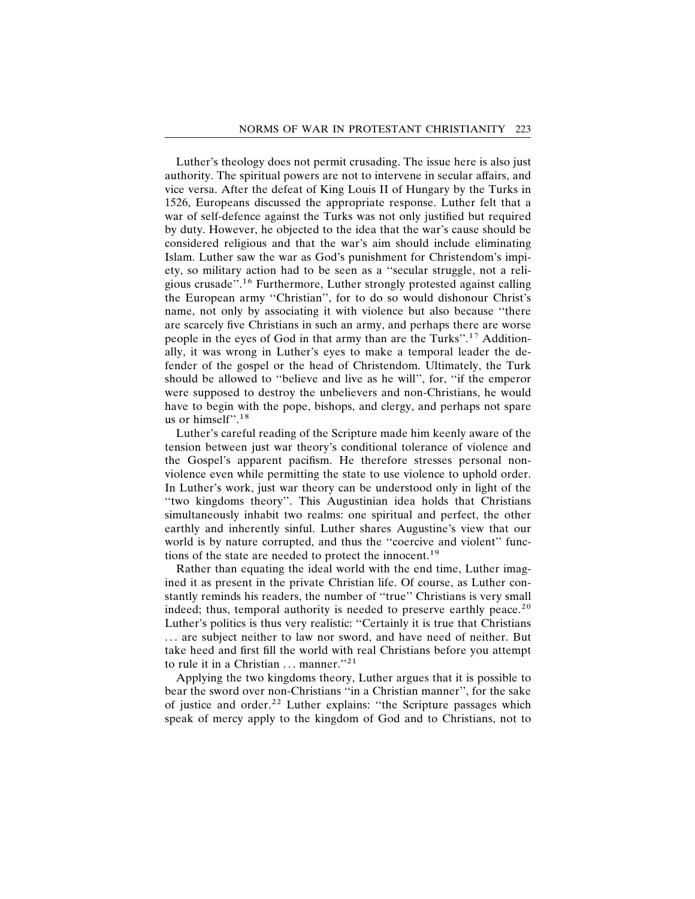Luther's theology does not permit crusading. The issue here is also just authority. The spiritual powers are not to intervene in secular affairs, and vice versa. After the defeat of King Louis II of Hungary by the Turks in 1526, Europeans discussed the appropriate response. Luther felt that a war of self-defence against the Turks was not only justified but required by duty. However, he objected to the idea that the war's cause should be considered religious and that the war's aim should include eliminating Islam. Luther saw the war as God's punishment for Christendom's impiety, so military action had to be seen as a ''secular struggle, not a religious crusade''.16 Furthermore, Luther strongly protested against calling the European army ''Christian'', for to do so would dishonour Christ's name, not only by associating it with violence but also because ''there are scarcely five Christians in such an army, and perhaps there are worse people in the eyes of God in that army than are the Turks''.17 Additionally, it was wrong in Luther's eyes to make a temporal leader the defender of the gospel or the head of Christendom. Ultimately, the Turk should be allowed to ''believe and live as he will'', for, ''if the emperor were supposed to destroy the unbelievers and non-Christians, he would have to begin with the pope, bishops, and clergy, and perhaps not spare us or himself''.18

Luther's careful reading of the Scripture made him keenly aware of the tension between just war theory's conditional tolerance of violence and the Gospel's apparent pacifism. He therefore stresses personal nonviolence even while permitting the state to use violence to uphold order. In Luther's work, just war theory can be understood only in light of the ''two kingdoms theory''. This Augustinian idea holds that Christians simultaneously inhabit two realms: one spiritual and perfect, the other earthly and inherently sinful. Luther shares Augustine's view that our world is by nature corrupted, and thus the ''coercive and violent'' functions of the state are needed to protect the innocent.19

Rather than equating the ideal world with the end time, Luther imagined it as present in the private Christian life. Of course, as Luther constantly reminds his readers, the number of ''true'' Christians is very small indeed; thus, temporal authority is needed to preserve earthly peace.<sup>20</sup> Luther's politics is thus very realistic: ''Certainly it is true that Christians ... are subject neither to law nor sword, and have need of neither. But take heed and first fill the world with real Christians before you attempt to rule it in a Christian ... manner."<sup>21</sup>

Applying the two kingdoms theory, Luther argues that it is possible to bear the sword over non-Christians ''in a Christian manner'', for the sake of justice and order.<sup>22</sup> Luther explains: "the Scripture passages which speak of mercy apply to the kingdom of God and to Christians, not to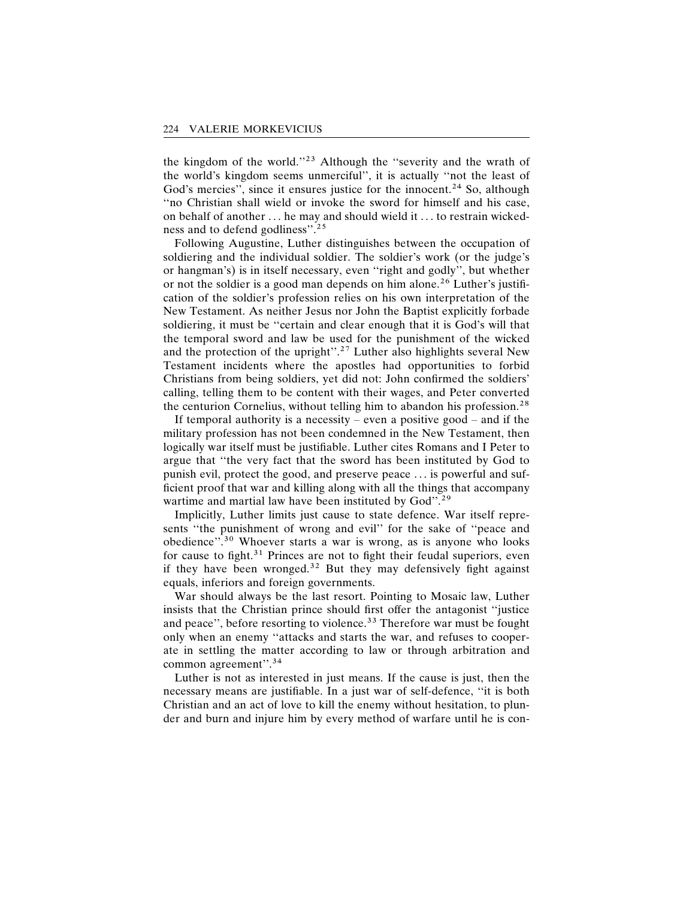the kingdom of the world.''23 Although the ''severity and the wrath of the world's kingdom seems unmerciful'', it is actually ''not the least of God's mercies'', since it ensures justice for the innocent.<sup>24</sup> So, although ''no Christian shall wield or invoke the sword for himself and his case, on behalf of another . . . he may and should wield it . . . to restrain wickedness and to defend godliness''.25

Following Augustine, Luther distinguishes between the occupation of soldiering and the individual soldier. The soldier's work (or the judge's or hangman's) is in itself necessary, even ''right and godly'', but whether or not the soldier is a good man depends on him alone.26 Luther's justification of the soldier's profession relies on his own interpretation of the New Testament. As neither Jesus nor John the Baptist explicitly forbade soldiering, it must be ''certain and clear enough that it is God's will that the temporal sword and law be used for the punishment of the wicked and the protection of the upright".<sup>27</sup> Luther also highlights several New Testament incidents where the apostles had opportunities to forbid Christians from being soldiers, yet did not: John confirmed the soldiers' calling, telling them to be content with their wages, and Peter converted the centurion Cornelius, without telling him to abandon his profession.<sup>28</sup>

If temporal authority is a necessity – even a positive good – and if the military profession has not been condemned in the New Testament, then logically war itself must be justifiable. Luther cites Romans and I Peter to argue that ''the very fact that the sword has been instituted by God to punish evil, protect the good, and preserve peace . . . is powerful and sufficient proof that war and killing along with all the things that accompany wartime and martial law have been instituted by God".<sup>29</sup>

Implicitly, Luther limits just cause to state defence. War itself represents ''the punishment of wrong and evil'' for the sake of ''peace and obedience''.30 Whoever starts a war is wrong, as is anyone who looks for cause to fight. $31$  Princes are not to fight their feudal superiors, even if they have been wronged.<sup>32</sup> But they may defensively fight against equals, inferiors and foreign governments.

War should always be the last resort. Pointing to Mosaic law, Luther insists that the Christian prince should first offer the antagonist ''justice and peace", before resorting to violence.<sup>33</sup> Therefore war must be fought only when an enemy ''attacks and starts the war, and refuses to cooperate in settling the matter according to law or through arbitration and common agreement''.34

Luther is not as interested in just means. If the cause is just, then the necessary means are justifiable. In a just war of self-defence, ''it is both Christian and an act of love to kill the enemy without hesitation, to plunder and burn and injure him by every method of warfare until he is con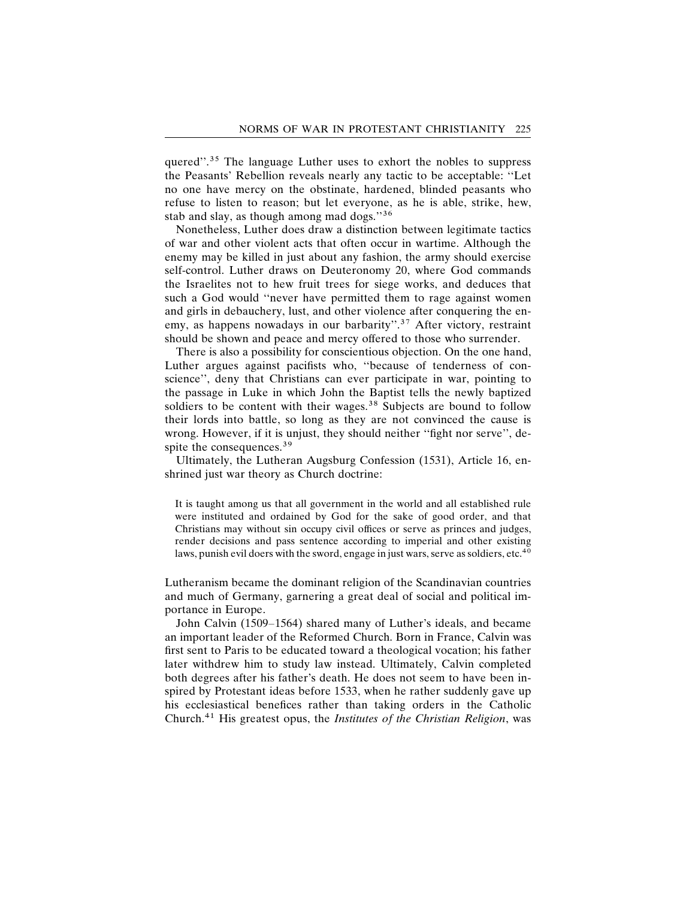quered".<sup>35</sup> The language Luther uses to exhort the nobles to suppress the Peasants' Rebellion reveals nearly any tactic to be acceptable: ''Let no one have mercy on the obstinate, hardened, blinded peasants who refuse to listen to reason; but let everyone, as he is able, strike, hew, stab and slay, as though among mad dogs."<sup>36</sup>

Nonetheless, Luther does draw a distinction between legitimate tactics of war and other violent acts that often occur in wartime. Although the enemy may be killed in just about any fashion, the army should exercise self-control. Luther draws on Deuteronomy 20, where God commands the Israelites not to hew fruit trees for siege works, and deduces that such a God would ''never have permitted them to rage against women and girls in debauchery, lust, and other violence after conquering the enemy, as happens nowadays in our barbarity".<sup>37</sup> After victory, restraint should be shown and peace and mercy offered to those who surrender.

There is also a possibility for conscientious objection. On the one hand, Luther argues against pacifists who, ''because of tenderness of conscience'', deny that Christians can ever participate in war, pointing to the passage in Luke in which John the Baptist tells the newly baptized soldiers to be content with their wages.<sup>38</sup> Subjects are bound to follow their lords into battle, so long as they are not convinced the cause is wrong. However, if it is unjust, they should neither ''fight nor serve'', despite the consequences.<sup>39</sup>

Ultimately, the Lutheran Augsburg Confession (1531), Article 16, enshrined just war theory as Church doctrine:

It is taught among us that all government in the world and all established rule were instituted and ordained by God for the sake of good order, and that Christians may without sin occupy civil offices or serve as princes and judges, render decisions and pass sentence according to imperial and other existing laws, punish evil doers with the sword, engage in just wars, serve as soldiers, etc.<sup>40</sup>

Lutheranism became the dominant religion of the Scandinavian countries and much of Germany, garnering a great deal of social and political importance in Europe.

John Calvin (1509–1564) shared many of Luther's ideals, and became an important leader of the Reformed Church. Born in France, Calvin was first sent to Paris to be educated toward a theological vocation; his father later withdrew him to study law instead. Ultimately, Calvin completed both degrees after his father's death. He does not seem to have been inspired by Protestant ideas before 1533, when he rather suddenly gave up his ecclesiastical benefices rather than taking orders in the Catholic Church.41 His greatest opus, the Institutes of the Christian Religion, was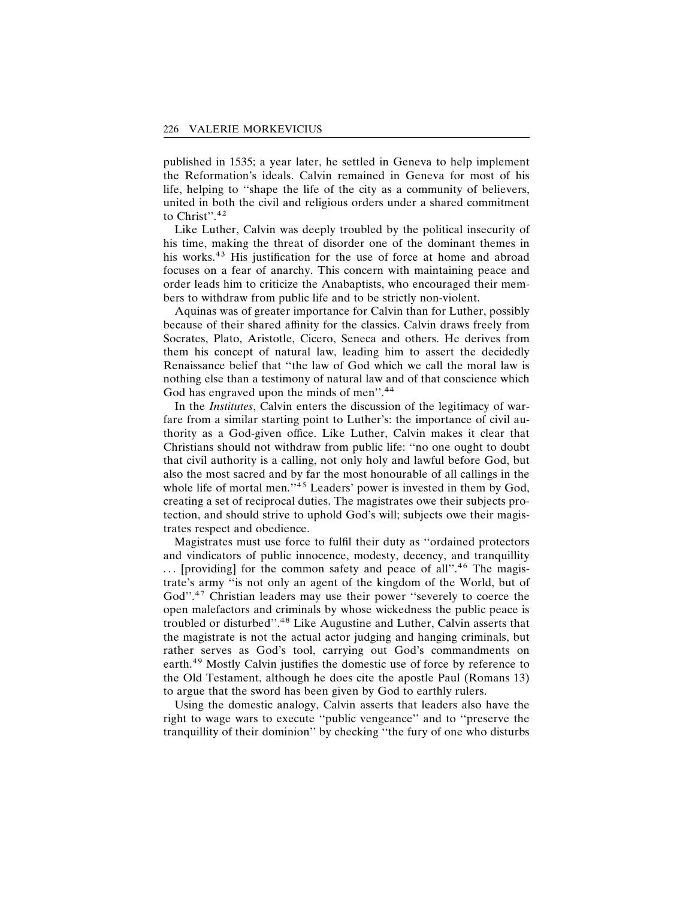published in 1535; a year later, he settled in Geneva to help implement the Reformation's ideals. Calvin remained in Geneva for most of his life, helping to ''shape the life of the city as a community of believers, united in both the civil and religious orders under a shared commitment to Christ".<sup>42</sup>

Like Luther, Calvin was deeply troubled by the political insecurity of his time, making the threat of disorder one of the dominant themes in his works.<sup>43</sup> His justification for the use of force at home and abroad focuses on a fear of anarchy. This concern with maintaining peace and order leads him to criticize the Anabaptists, who encouraged their members to withdraw from public life and to be strictly non-violent.

Aquinas was of greater importance for Calvin than for Luther, possibly because of their shared affinity for the classics. Calvin draws freely from Socrates, Plato, Aristotle, Cicero, Seneca and others. He derives from them his concept of natural law, leading him to assert the decidedly Renaissance belief that ''the law of God which we call the moral law is nothing else than a testimony of natural law and of that conscience which God has engraved upon the minds of men<sup>".44</sup>

In the *Institutes*, Calvin enters the discussion of the legitimacy of warfare from a similar starting point to Luther's: the importance of civil authority as a God-given office. Like Luther, Calvin makes it clear that Christians should not withdraw from public life: ''no one ought to doubt that civil authority is a calling, not only holy and lawful before God, but also the most sacred and by far the most honourable of all callings in the whole life of mortal men." $45$  Leaders' power is invested in them by God, creating a set of reciprocal duties. The magistrates owe their subjects protection, and should strive to uphold God's will; subjects owe their magistrates respect and obedience.

Magistrates must use force to fulfil their duty as ''ordained protectors and vindicators of public innocence, modesty, decency, and tranquillity  $\ldots$  [providing] for the common safety and peace of all".<sup>46</sup> The magistrate's army ''is not only an agent of the kingdom of the World, but of God''.47 Christian leaders may use their power ''severely to coerce the open malefactors and criminals by whose wickedness the public peace is troubled or disturbed''.48 Like Augustine and Luther, Calvin asserts that the magistrate is not the actual actor judging and hanging criminals, but rather serves as God's tool, carrying out God's commandments on earth.49 Mostly Calvin justifies the domestic use of force by reference to the Old Testament, although he does cite the apostle Paul (Romans 13) to argue that the sword has been given by God to earthly rulers.

Using the domestic analogy, Calvin asserts that leaders also have the right to wage wars to execute ''public vengeance'' and to ''preserve the tranquillity of their dominion'' by checking ''the fury of one who disturbs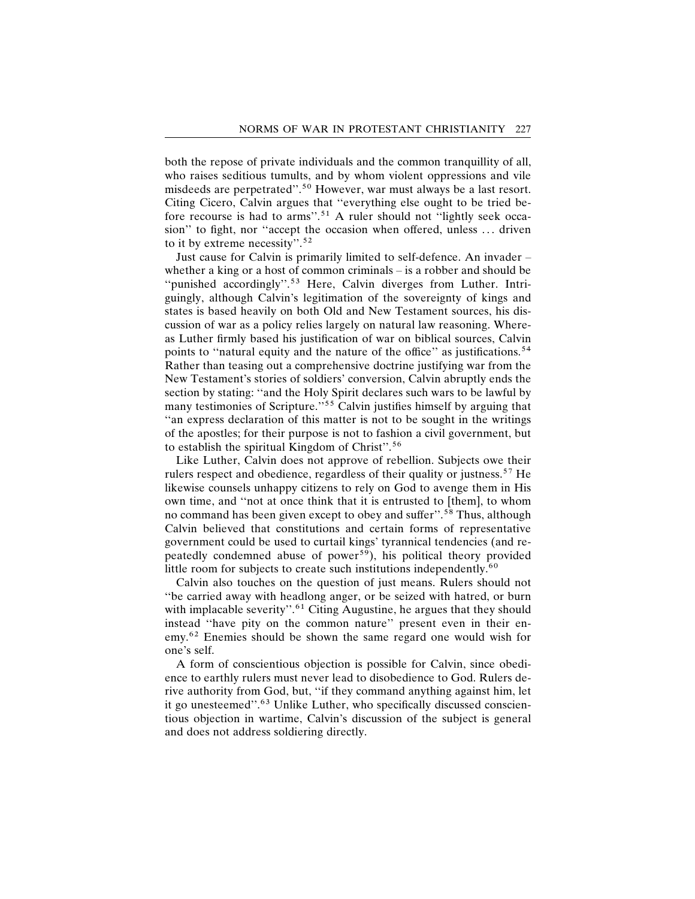both the repose of private individuals and the common tranquillity of all, who raises seditious tumults, and by whom violent oppressions and vile misdeeds are perpetrated''.50 However, war must always be a last resort. Citing Cicero, Calvin argues that ''everything else ought to be tried before recourse is had to arms".<sup>51</sup> A ruler should not "lightly seek occasion" to fight, nor "accept the occasion when offered, unless ... driven to it by extreme necessity".<sup>52</sup>

Just cause for Calvin is primarily limited to self-defence. An invader – whether a king or a host of common criminals – is a robber and should be ''punished accordingly''.53 Here, Calvin diverges from Luther. Intriguingly, although Calvin's legitimation of the sovereignty of kings and states is based heavily on both Old and New Testament sources, his discussion of war as a policy relies largely on natural law reasoning. Whereas Luther firmly based his justification of war on biblical sources, Calvin points to "natural equity and the nature of the office" as justifications.<sup>54</sup> Rather than teasing out a comprehensive doctrine justifying war from the New Testament's stories of soldiers' conversion, Calvin abruptly ends the section by stating: ''and the Holy Spirit declares such wars to be lawful by many testimonies of Scripture."<sup>55</sup> Calvin justifies himself by arguing that ''an express declaration of this matter is not to be sought in the writings of the apostles; for their purpose is not to fashion a civil government, but to establish the spiritual Kingdom of Christ''.56

Like Luther, Calvin does not approve of rebellion. Subjects owe their rulers respect and obedience, regardless of their quality or justness.<sup>57</sup> He likewise counsels unhappy citizens to rely on God to avenge them in His own time, and ''not at once think that it is entrusted to [them], to whom no command has been given except to obey and suffer".<sup>58</sup> Thus, although Calvin believed that constitutions and certain forms of representative government could be used to curtail kings' tyrannical tendencies (and repeatedly condemned abuse of power<sup>59</sup>), his political theory provided little room for subjects to create such institutions independently.<sup>60</sup>

Calvin also touches on the question of just means. Rulers should not ''be carried away with headlong anger, or be seized with hatred, or burn with implacable severity".<sup>61</sup> Citing Augustine, he argues that they should instead ''have pity on the common nature'' present even in their enemy.62 Enemies should be shown the same regard one would wish for one's self.

A form of conscientious objection is possible for Calvin, since obedience to earthly rulers must never lead to disobedience to God. Rulers derive authority from God, but, ''if they command anything against him, let it go unesteemed''.63 Unlike Luther, who specifically discussed conscientious objection in wartime, Calvin's discussion of the subject is general and does not address soldiering directly.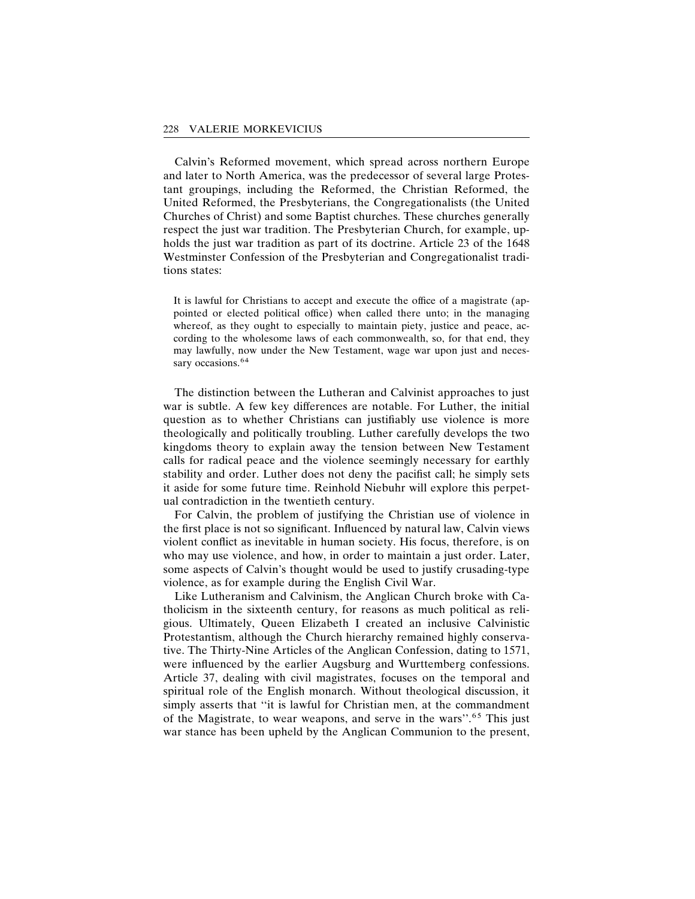Calvin's Reformed movement, which spread across northern Europe and later to North America, was the predecessor of several large Protestant groupings, including the Reformed, the Christian Reformed, the United Reformed, the Presbyterians, the Congregationalists (the United Churches of Christ) and some Baptist churches. These churches generally respect the just war tradition. The Presbyterian Church, for example, upholds the just war tradition as part of its doctrine. Article 23 of the 1648 Westminster Confession of the Presbyterian and Congregationalist traditions states:

It is lawful for Christians to accept and execute the office of a magistrate (appointed or elected political office) when called there unto; in the managing whereof, as they ought to especially to maintain piety, justice and peace, according to the wholesome laws of each commonwealth, so, for that end, they may lawfully, now under the New Testament, wage war upon just and necessary occasions.<sup>64</sup>

The distinction between the Lutheran and Calvinist approaches to just war is subtle. A few key differences are notable. For Luther, the initial question as to whether Christians can justifiably use violence is more theologically and politically troubling. Luther carefully develops the two kingdoms theory to explain away the tension between New Testament calls for radical peace and the violence seemingly necessary for earthly stability and order. Luther does not deny the pacifist call; he simply sets it aside for some future time. Reinhold Niebuhr will explore this perpetual contradiction in the twentieth century.

For Calvin, the problem of justifying the Christian use of violence in the first place is not so significant. Influenced by natural law, Calvin views violent conflict as inevitable in human society. His focus, therefore, is on who may use violence, and how, in order to maintain a just order. Later, some aspects of Calvin's thought would be used to justify crusading-type violence, as for example during the English Civil War.

Like Lutheranism and Calvinism, the Anglican Church broke with Catholicism in the sixteenth century, for reasons as much political as religious. Ultimately, Queen Elizabeth I created an inclusive Calvinistic Protestantism, although the Church hierarchy remained highly conservative. The Thirty-Nine Articles of the Anglican Confession, dating to 1571, were influenced by the earlier Augsburg and Wurttemberg confessions. Article 37, dealing with civil magistrates, focuses on the temporal and spiritual role of the English monarch. Without theological discussion, it simply asserts that ''it is lawful for Christian men, at the commandment of the Magistrate, to wear weapons, and serve in the wars''.65 This just war stance has been upheld by the Anglican Communion to the present,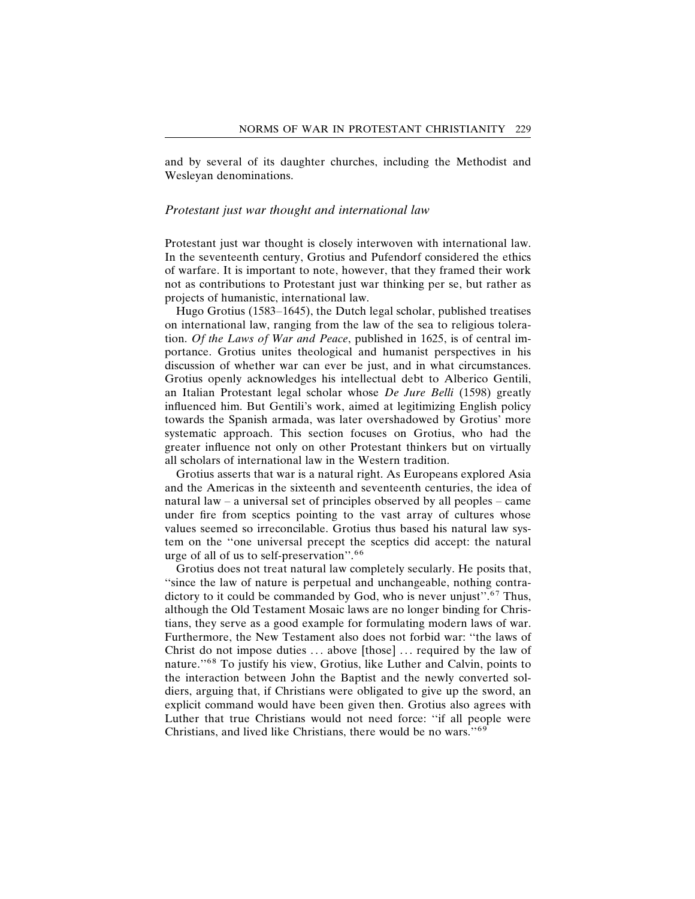and by several of its daughter churches, including the Methodist and Wesleyan denominations.

## Protestant just war thought and international law

Protestant just war thought is closely interwoven with international law. In the seventeenth century, Grotius and Pufendorf considered the ethics of warfare. It is important to note, however, that they framed their work not as contributions to Protestant just war thinking per se, but rather as projects of humanistic, international law.

Hugo Grotius (1583–1645), the Dutch legal scholar, published treatises on international law, ranging from the law of the sea to religious toleration. Of the Laws of War and Peace, published in 1625, is of central importance. Grotius unites theological and humanist perspectives in his discussion of whether war can ever be just, and in what circumstances. Grotius openly acknowledges his intellectual debt to Alberico Gentili, an Italian Protestant legal scholar whose De Jure Belli (1598) greatly influenced him. But Gentili's work, aimed at legitimizing English policy towards the Spanish armada, was later overshadowed by Grotius' more systematic approach. This section focuses on Grotius, who had the greater influence not only on other Protestant thinkers but on virtually all scholars of international law in the Western tradition.

Grotius asserts that war is a natural right. As Europeans explored Asia and the Americas in the sixteenth and seventeenth centuries, the idea of natural law – a universal set of principles observed by all peoples – came under fire from sceptics pointing to the vast array of cultures whose values seemed so irreconcilable. Grotius thus based his natural law system on the ''one universal precept the sceptics did accept: the natural urge of all of us to self-preservation''.66

Grotius does not treat natural law completely secularly. He posits that, ''since the law of nature is perpetual and unchangeable, nothing contradictory to it could be commanded by God, who is never unjust".<sup>67</sup> Thus, although the Old Testament Mosaic laws are no longer binding for Christians, they serve as a good example for formulating modern laws of war. Furthermore, the New Testament also does not forbid war: ''the laws of Christ do not impose duties ... above [those] ... required by the law of nature.''68 To justify his view, Grotius, like Luther and Calvin, points to the interaction between John the Baptist and the newly converted soldiers, arguing that, if Christians were obligated to give up the sword, an explicit command would have been given then. Grotius also agrees with Luther that true Christians would not need force: ''if all people were Christians, and lived like Christians, there would be no wars.''69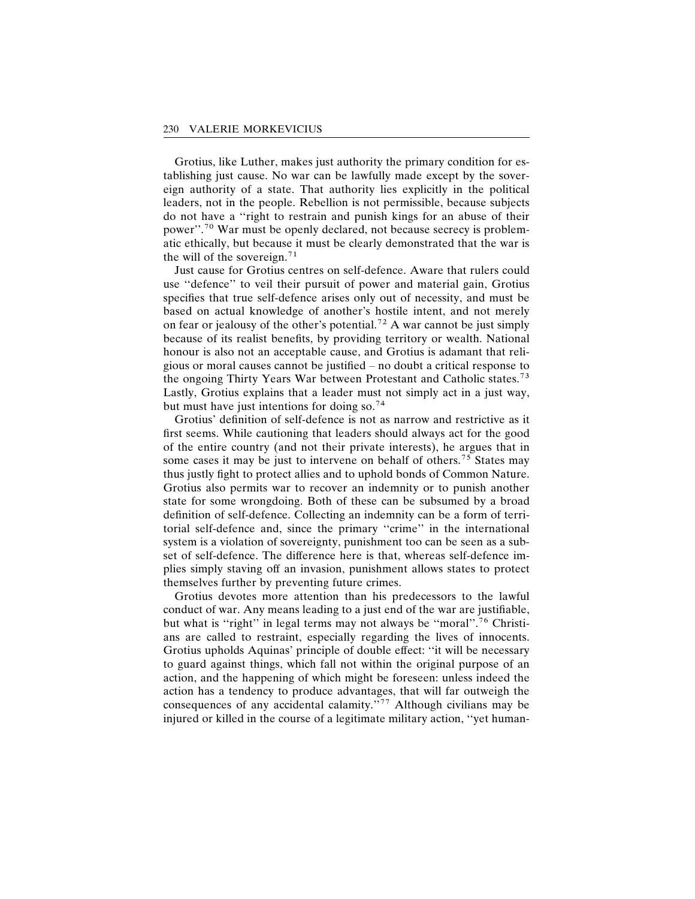Grotius, like Luther, makes just authority the primary condition for establishing just cause. No war can be lawfully made except by the sovereign authority of a state. That authority lies explicitly in the political leaders, not in the people. Rebellion is not permissible, because subjects do not have a ''right to restrain and punish kings for an abuse of their power''.70 War must be openly declared, not because secrecy is problematic ethically, but because it must be clearly demonstrated that the war is the will of the sovereign.<sup>71</sup>

Just cause for Grotius centres on self-defence. Aware that rulers could use ''defence'' to veil their pursuit of power and material gain, Grotius specifies that true self-defence arises only out of necessity, and must be based on actual knowledge of another's hostile intent, and not merely on fear or jealousy of the other's potential.<sup>72</sup> A war cannot be just simply because of its realist benefits, by providing territory or wealth. National honour is also not an acceptable cause, and Grotius is adamant that religious or moral causes cannot be justified – no doubt a critical response to the ongoing Thirty Years War between Protestant and Catholic states.<sup>73</sup> Lastly, Grotius explains that a leader must not simply act in a just way, but must have just intentions for doing so.<sup>74</sup>

Grotius' definition of self-defence is not as narrow and restrictive as it first seems. While cautioning that leaders should always act for the good of the entire country (and not their private interests), he argues that in some cases it may be just to intervene on behalf of others.<sup>75</sup> States may thus justly fight to protect allies and to uphold bonds of Common Nature. Grotius also permits war to recover an indemnity or to punish another state for some wrongdoing. Both of these can be subsumed by a broad definition of self-defence. Collecting an indemnity can be a form of territorial self-defence and, since the primary ''crime'' in the international system is a violation of sovereignty, punishment too can be seen as a subset of self-defence. The difference here is that, whereas self-defence implies simply staving off an invasion, punishment allows states to protect themselves further by preventing future crimes.

Grotius devotes more attention than his predecessors to the lawful conduct of war. Any means leading to a just end of the war are justifiable, but what is "right" in legal terms may not always be "moral".<sup>76</sup> Christians are called to restraint, especially regarding the lives of innocents. Grotius upholds Aquinas' principle of double effect: ''it will be necessary to guard against things, which fall not within the original purpose of an action, and the happening of which might be foreseen: unless indeed the action has a tendency to produce advantages, that will far outweigh the consequences of any accidental calamity.''77 Although civilians may be injured or killed in the course of a legitimate military action, ''yet human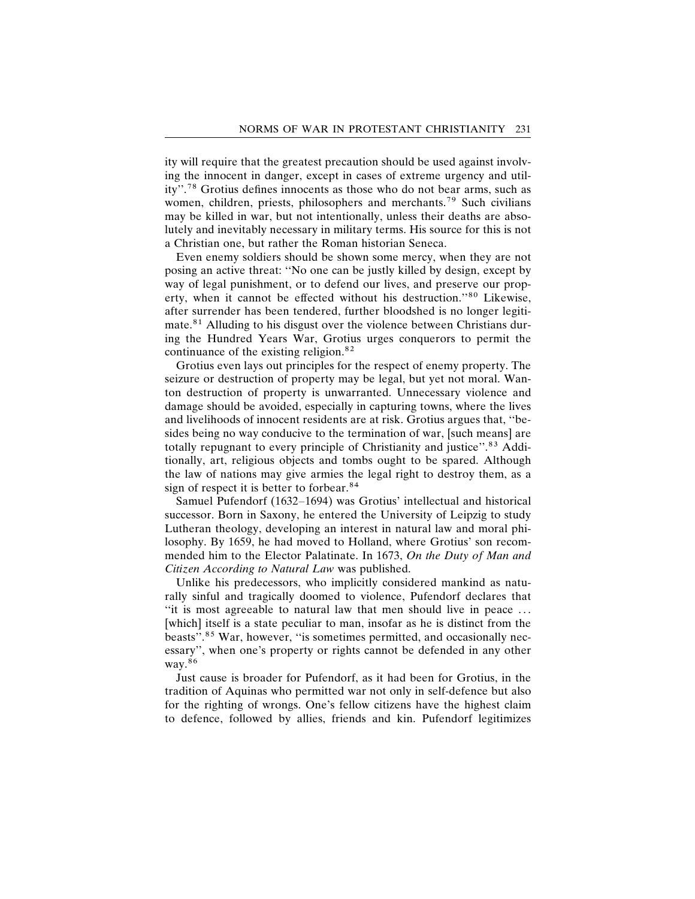ity will require that the greatest precaution should be used against involving the innocent in danger, except in cases of extreme urgency and utility''.78 Grotius defines innocents as those who do not bear arms, such as women, children, priests, philosophers and merchants.<sup>79</sup> Such civilians may be killed in war, but not intentionally, unless their deaths are absolutely and inevitably necessary in military terms. His source for this is not a Christian one, but rather the Roman historian Seneca.

Even enemy soldiers should be shown some mercy, when they are not posing an active threat: ''No one can be justly killed by design, except by way of legal punishment, or to defend our lives, and preserve our property, when it cannot be effected without his destruction.''80 Likewise, after surrender has been tendered, further bloodshed is no longer legitimate.<sup>81</sup> Alluding to his disgust over the violence between Christians during the Hundred Years War, Grotius urges conquerors to permit the continuance of the existing religion.<sup>82</sup>

Grotius even lays out principles for the respect of enemy property. The seizure or destruction of property may be legal, but yet not moral. Wanton destruction of property is unwarranted. Unnecessary violence and damage should be avoided, especially in capturing towns, where the lives and livelihoods of innocent residents are at risk. Grotius argues that, ''besides being no way conducive to the termination of war, [such means] are totally repugnant to every principle of Christianity and justice".<sup>83</sup> Additionally, art, religious objects and tombs ought to be spared. Although the law of nations may give armies the legal right to destroy them, as a sign of respect it is better to forbear.<sup>84</sup>

Samuel Pufendorf (1632–1694) was Grotius' intellectual and historical successor. Born in Saxony, he entered the University of Leipzig to study Lutheran theology, developing an interest in natural law and moral philosophy. By 1659, he had moved to Holland, where Grotius' son recommended him to the Elector Palatinate. In 1673, On the Duty of Man and Citizen According to Natural Law was published.

Unlike his predecessors, who implicitly considered mankind as naturally sinful and tragically doomed to violence, Pufendorf declares that ''it is most agreeable to natural law that men should live in peace . . . [which] itself is a state peculiar to man, insofar as he is distinct from the beasts".<sup>85</sup> War, however, "is sometimes permitted, and occasionally necessary'', when one's property or rights cannot be defended in any other way.<sup>86</sup>

Just cause is broader for Pufendorf, as it had been for Grotius, in the tradition of Aquinas who permitted war not only in self-defence but also for the righting of wrongs. One's fellow citizens have the highest claim to defence, followed by allies, friends and kin. Pufendorf legitimizes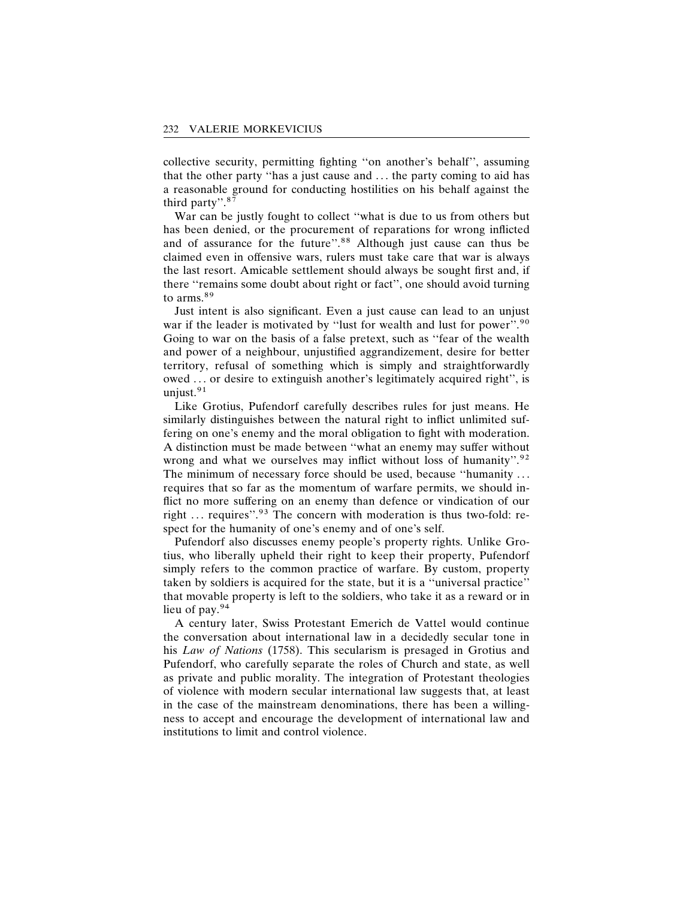collective security, permitting fighting ''on another's behalf'', assuming that the other party ''has a just cause and . . . the party coming to aid has a reasonable ground for conducting hostilities on his behalf against the third party''.87

War can be justly fought to collect ''what is due to us from others but has been denied, or the procurement of reparations for wrong inflicted and of assurance for the future''.88 Although just cause can thus be claimed even in offensive wars, rulers must take care that war is always the last resort. Amicable settlement should always be sought first and, if there ''remains some doubt about right or fact'', one should avoid turning to arms.<sup>89</sup>

Just intent is also significant. Even a just cause can lead to an unjust war if the leader is motivated by "lust for wealth and lust for power".<sup>90</sup> Going to war on the basis of a false pretext, such as ''fear of the wealth and power of a neighbour, unjustified aggrandizement, desire for better territory, refusal of something which is simply and straightforwardly owed . . . or desire to extinguish another's legitimately acquired right'', is uniust.<sup>91</sup>

Like Grotius, Pufendorf carefully describes rules for just means. He similarly distinguishes between the natural right to inflict unlimited suffering on one's enemy and the moral obligation to fight with moderation. A distinction must be made between ''what an enemy may suffer without wrong and what we ourselves may inflict without loss of humanity".<sup>92</sup> The minimum of necessary force should be used, because ''humanity . . . requires that so far as the momentum of warfare permits, we should inflict no more suffering on an enemy than defence or vindication of our right  $\ldots$  requires".<sup>93</sup> The concern with moderation is thus two-fold: respect for the humanity of one's enemy and of one's self.

Pufendorf also discusses enemy people's property rights. Unlike Grotius, who liberally upheld their right to keep their property, Pufendorf simply refers to the common practice of warfare. By custom, property taken by soldiers is acquired for the state, but it is a ''universal practice'' that movable property is left to the soldiers, who take it as a reward or in lieu of pay.94

A century later, Swiss Protestant Emerich de Vattel would continue the conversation about international law in a decidedly secular tone in his Law of Nations (1758). This secularism is presaged in Grotius and Pufendorf, who carefully separate the roles of Church and state, as well as private and public morality. The integration of Protestant theologies of violence with modern secular international law suggests that, at least in the case of the mainstream denominations, there has been a willingness to accept and encourage the development of international law and institutions to limit and control violence.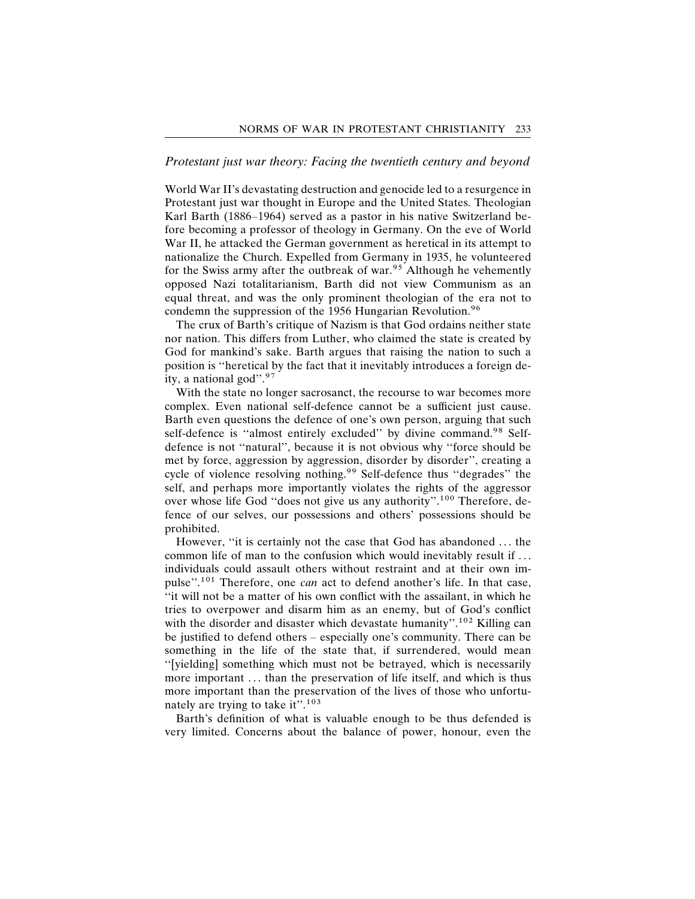# Protestant just war theory: Facing the twentieth century and beyond

World War II's devastating destruction and genocide led to a resurgence in Protestant just war thought in Europe and the United States. Theologian Karl Barth (1886–1964) served as a pastor in his native Switzerland before becoming a professor of theology in Germany. On the eve of World War II, he attacked the German government as heretical in its attempt to nationalize the Church. Expelled from Germany in 1935, he volunteered for the Swiss army after the outbreak of war.<sup>95</sup> Although he vehemently opposed Nazi totalitarianism, Barth did not view Communism as an equal threat, and was the only prominent theologian of the era not to condemn the suppression of the 1956 Hungarian Revolution.<sup>96</sup>

The crux of Barth's critique of Nazism is that God ordains neither state nor nation. This differs from Luther, who claimed the state is created by God for mankind's sake. Barth argues that raising the nation to such a position is ''heretical by the fact that it inevitably introduces a foreign deity, a national god''.97

With the state no longer sacrosanct, the recourse to war becomes more complex. Even national self-defence cannot be a sufficient just cause. Barth even questions the defence of one's own person, arguing that such self-defence is "almost entirely excluded" by divine command.<sup>98</sup> Selfdefence is not ''natural'', because it is not obvious why ''force should be met by force, aggression by aggression, disorder by disorder'', creating a cycle of violence resolving nothing.<sup>99</sup> Self-defence thus "degrades" the self, and perhaps more importantly violates the rights of the aggressor over whose life God ''does not give us any authority''.100 Therefore, defence of our selves, our possessions and others' possessions should be prohibited.

However, ''it is certainly not the case that God has abandoned . . . the common life of man to the confusion which would inevitably result if ... individuals could assault others without restraint and at their own impulse".<sup>101</sup> Therefore, one *can* act to defend another's life. In that case, ''it will not be a matter of his own conflict with the assailant, in which he tries to overpower and disarm him as an enemy, but of God's conflict with the disorder and disaster which devastate humanity".<sup>102</sup> Killing can be justified to defend others – especially one's community. There can be something in the life of the state that, if surrendered, would mean ''[yielding] something which must not be betrayed, which is necessarily more important ... than the preservation of life itself, and which is thus more important than the preservation of the lives of those who unfortunately are trying to take it''.103

Barth's definition of what is valuable enough to be thus defended is very limited. Concerns about the balance of power, honour, even the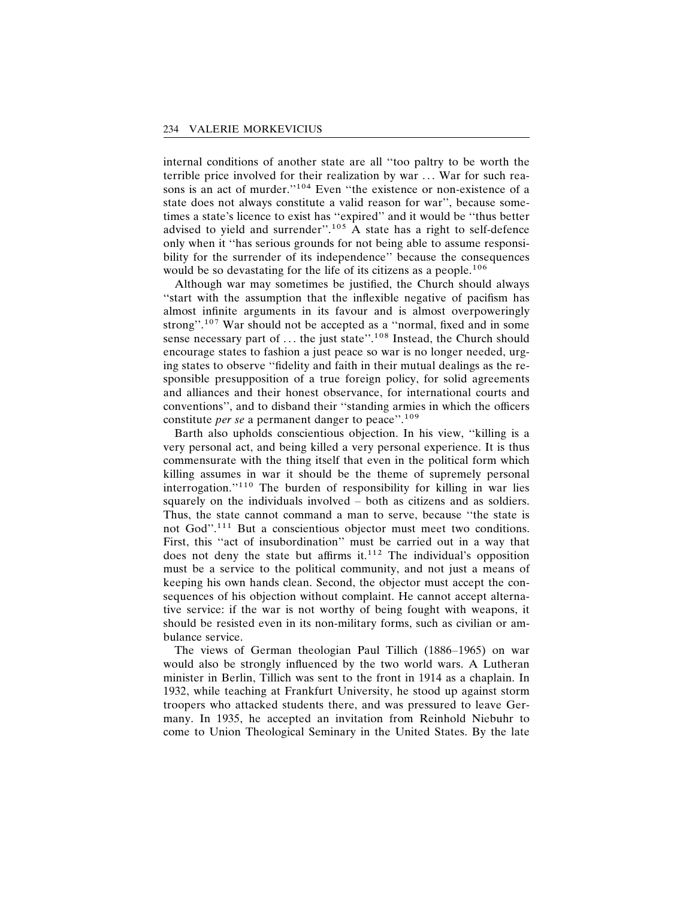internal conditions of another state are all ''too paltry to be worth the terrible price involved for their realization by war ... War for such reasons is an act of murder."<sup>104</sup> Even "the existence or non-existence of a state does not always constitute a valid reason for war'', because sometimes a state's licence to exist has ''expired'' and it would be ''thus better advised to yield and surrender''.105 A state has a right to self-defence only when it ''has serious grounds for not being able to assume responsibility for the surrender of its independence'' because the consequences would be so devastating for the life of its citizens as a people.<sup>106</sup>

Although war may sometimes be justified, the Church should always ''start with the assumption that the inflexible negative of pacifism has almost infinite arguments in its favour and is almost overpoweringly strong''.107 War should not be accepted as a ''normal, fixed and in some sense necessary part of  $\dots$  the just state".<sup>108</sup> Instead, the Church should encourage states to fashion a just peace so war is no longer needed, urging states to observe ''fidelity and faith in their mutual dealings as the responsible presupposition of a true foreign policy, for solid agreements and alliances and their honest observance, for international courts and conventions'', and to disband their ''standing armies in which the officers constitute *per se* a permanent danger to peace".<sup>109</sup>

Barth also upholds conscientious objection. In his view, ''killing is a very personal act, and being killed a very personal experience. It is thus commensurate with the thing itself that even in the political form which killing assumes in war it should be the theme of supremely personal interrogation."<sup>110</sup> The burden of responsibility for killing in war lies squarely on the individuals involved – both as citizens and as soldiers. Thus, the state cannot command a man to serve, because ''the state is not God''.111 But a conscientious objector must meet two conditions. First, this ''act of insubordination'' must be carried out in a way that does not deny the state but affirms it.<sup>112</sup> The individual's opposition must be a service to the political community, and not just a means of keeping his own hands clean. Second, the objector must accept the consequences of his objection without complaint. He cannot accept alternative service: if the war is not worthy of being fought with weapons, it should be resisted even in its non-military forms, such as civilian or ambulance service.

The views of German theologian Paul Tillich (1886–1965) on war would also be strongly influenced by the two world wars. A Lutheran minister in Berlin, Tillich was sent to the front in 1914 as a chaplain. In 1932, while teaching at Frankfurt University, he stood up against storm troopers who attacked students there, and was pressured to leave Germany. In 1935, he accepted an invitation from Reinhold Niebuhr to come to Union Theological Seminary in the United States. By the late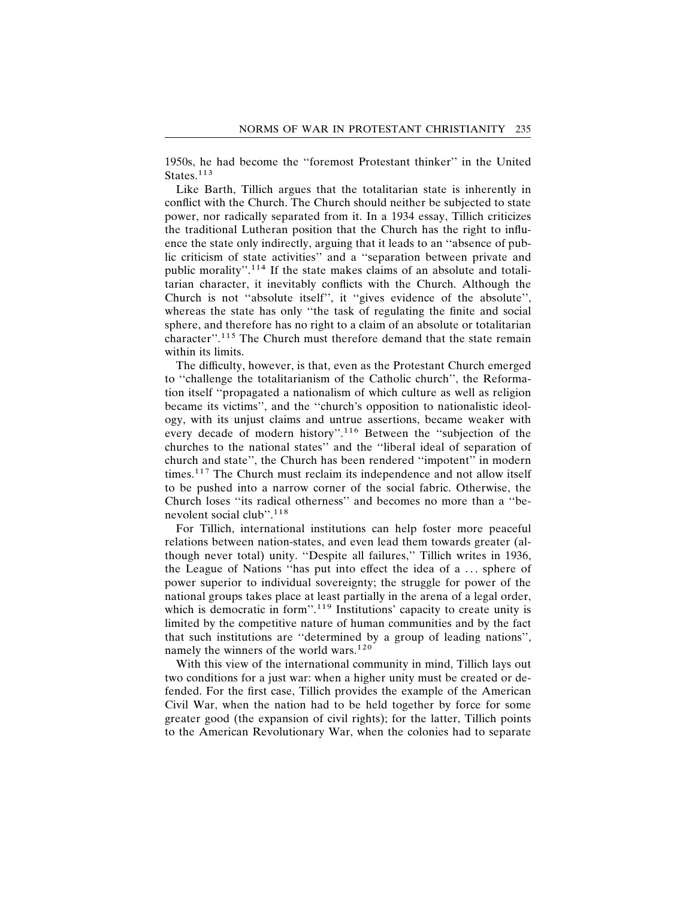1950s, he had become the ''foremost Protestant thinker'' in the United States.<sup>113</sup>

Like Barth, Tillich argues that the totalitarian state is inherently in conflict with the Church. The Church should neither be subjected to state power, nor radically separated from it. In a 1934 essay, Tillich criticizes the traditional Lutheran position that the Church has the right to influence the state only indirectly, arguing that it leads to an ''absence of public criticism of state activities'' and a ''separation between private and public morality".<sup>114</sup> If the state makes claims of an absolute and totalitarian character, it inevitably conflicts with the Church. Although the Church is not ''absolute itself'', it ''gives evidence of the absolute'', whereas the state has only ''the task of regulating the finite and social sphere, and therefore has no right to a claim of an absolute or totalitarian character".<sup>115</sup> The Church must therefore demand that the state remain within its limits.

The difficulty, however, is that, even as the Protestant Church emerged to ''challenge the totalitarianism of the Catholic church'', the Reformation itself ''propagated a nationalism of which culture as well as religion became its victims'', and the ''church's opposition to nationalistic ideology, with its unjust claims and untrue assertions, became weaker with every decade of modern history''.116 Between the ''subjection of the churches to the national states'' and the ''liberal ideal of separation of church and state'', the Church has been rendered ''impotent'' in modern times.<sup>117</sup> The Church must reclaim its independence and not allow itself to be pushed into a narrow corner of the social fabric. Otherwise, the Church loses ''its radical otherness'' and becomes no more than a ''benevolent social club''.118

For Tillich, international institutions can help foster more peaceful relations between nation-states, and even lead them towards greater (although never total) unity. ''Despite all failures,'' Tillich writes in 1936, the League of Nations ''has put into effect the idea of a . . . sphere of power superior to individual sovereignty; the struggle for power of the national groups takes place at least partially in the arena of a legal order, which is democratic in form".<sup>119</sup> Institutions' capacity to create unity is limited by the competitive nature of human communities and by the fact that such institutions are ''determined by a group of leading nations'', namely the winners of the world wars.<sup>120</sup>

With this view of the international community in mind, Tillich lays out two conditions for a just war: when a higher unity must be created or defended. For the first case, Tillich provides the example of the American Civil War, when the nation had to be held together by force for some greater good (the expansion of civil rights); for the latter, Tillich points to the American Revolutionary War, when the colonies had to separate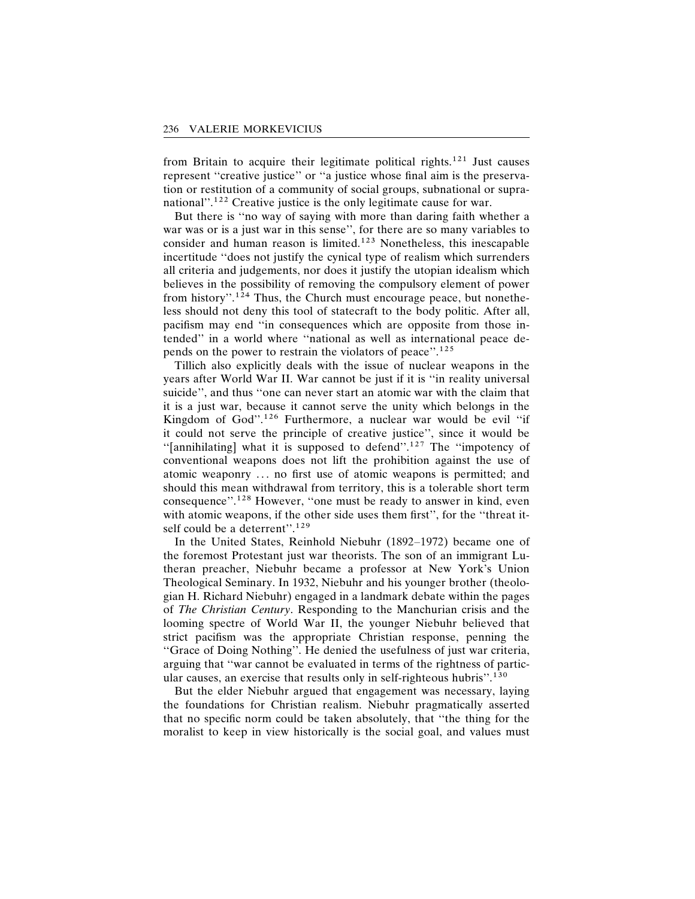from Britain to acquire their legitimate political rights.<sup>121</sup> Just causes represent ''creative justice'' or ''a justice whose final aim is the preservation or restitution of a community of social groups, subnational or supranational''.122 Creative justice is the only legitimate cause for war.

But there is ''no way of saying with more than daring faith whether a war was or is a just war in this sense'', for there are so many variables to consider and human reason is limited.123 Nonetheless, this inescapable incertitude ''does not justify the cynical type of realism which surrenders all criteria and judgements, nor does it justify the utopian idealism which believes in the possibility of removing the compulsory element of power from history".<sup>124</sup> Thus, the Church must encourage peace, but nonetheless should not deny this tool of statecraft to the body politic. After all, pacifism may end ''in consequences which are opposite from those intended'' in a world where ''national as well as international peace depends on the power to restrain the violators of peace''.125

Tillich also explicitly deals with the issue of nuclear weapons in the years after World War II. War cannot be just if it is ''in reality universal suicide'', and thus ''one can never start an atomic war with the claim that it is a just war, because it cannot serve the unity which belongs in the Kingdom of God".<sup>126</sup> Furthermore, a nuclear war would be evil "if it could not serve the principle of creative justice'', since it would be "[annihilating] what it is supposed to defend".<sup>127</sup> The "impotency of conventional weapons does not lift the prohibition against the use of atomic weaponry ... no first use of atomic weapons is permitted; and should this mean withdrawal from territory, this is a tolerable short term consequence''.128 However, ''one must be ready to answer in kind, even with atomic weapons, if the other side uses them first", for the "threat itself could be a deterrent".<sup>129</sup>

In the United States, Reinhold Niebuhr (1892–1972) became one of the foremost Protestant just war theorists. The son of an immigrant Lutheran preacher, Niebuhr became a professor at New York's Union Theological Seminary. In 1932, Niebuhr and his younger brother (theologian H. Richard Niebuhr) engaged in a landmark debate within the pages of The Christian Century. Responding to the Manchurian crisis and the looming spectre of World War II, the younger Niebuhr believed that strict pacifism was the appropriate Christian response, penning the ''Grace of Doing Nothing''. He denied the usefulness of just war criteria, arguing that ''war cannot be evaluated in terms of the rightness of particular causes, an exercise that results only in self-righteous hubris''.130

But the elder Niebuhr argued that engagement was necessary, laying the foundations for Christian realism. Niebuhr pragmatically asserted that no specific norm could be taken absolutely, that ''the thing for the moralist to keep in view historically is the social goal, and values must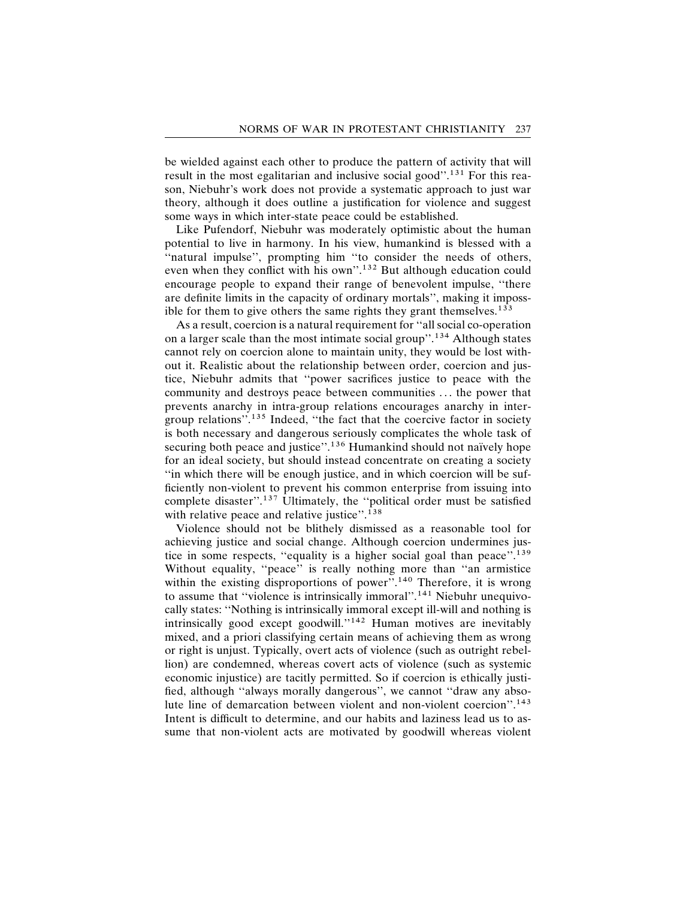be wielded against each other to produce the pattern of activity that will result in the most egalitarian and inclusive social good".<sup>131</sup> For this reason, Niebuhr's work does not provide a systematic approach to just war theory, although it does outline a justification for violence and suggest some ways in which inter-state peace could be established.

Like Pufendorf, Niebuhr was moderately optimistic about the human potential to live in harmony. In his view, humankind is blessed with a "natural impulse", prompting him "to consider the needs of others, even when they conflict with his own".<sup>132</sup> But although education could encourage people to expand their range of benevolent impulse, ''there are definite limits in the capacity of ordinary mortals'', making it impossible for them to give others the same rights they grant themselves.<sup>133</sup>

As a result, coercion is a natural requirement for ''all social co-operation on a larger scale than the most intimate social group".<sup>134</sup> Although states cannot rely on coercion alone to maintain unity, they would be lost without it. Realistic about the relationship between order, coercion and justice, Niebuhr admits that ''power sacrifices justice to peace with the community and destroys peace between communities . . . the power that prevents anarchy in intra-group relations encourages anarchy in intergroup relations''.135 Indeed, ''the fact that the coercive factor in society is both necessary and dangerous seriously complicates the whole task of securing both peace and justice''.<sup>136</sup> Humankind should not naïvely hope for an ideal society, but should instead concentrate on creating a society ''in which there will be enough justice, and in which coercion will be sufficiently non-violent to prevent his common enterprise from issuing into complete disaster''.137 Ultimately, the ''political order must be satisfied with relative peace and relative justice".<sup>138</sup>

Violence should not be blithely dismissed as a reasonable tool for achieving justice and social change. Although coercion undermines justice in some respects, "equality is a higher social goal than peace".<sup>139</sup> Without equality, ''peace'' is really nothing more than ''an armistice within the existing disproportions of power".<sup>140</sup> Therefore, it is wrong to assume that "violence is intrinsically immoral".<sup>141</sup> Niebuhr unequivocally states: ''Nothing is intrinsically immoral except ill-will and nothing is intrinsically good except goodwill.''142 Human motives are inevitably mixed, and a priori classifying certain means of achieving them as wrong or right is unjust. Typically, overt acts of violence (such as outright rebellion) are condemned, whereas covert acts of violence (such as systemic economic injustice) are tacitly permitted. So if coercion is ethically justified, although ''always morally dangerous'', we cannot ''draw any absolute line of demarcation between violent and non-violent coercion".<sup>143</sup> Intent is difficult to determine, and our habits and laziness lead us to assume that non-violent acts are motivated by goodwill whereas violent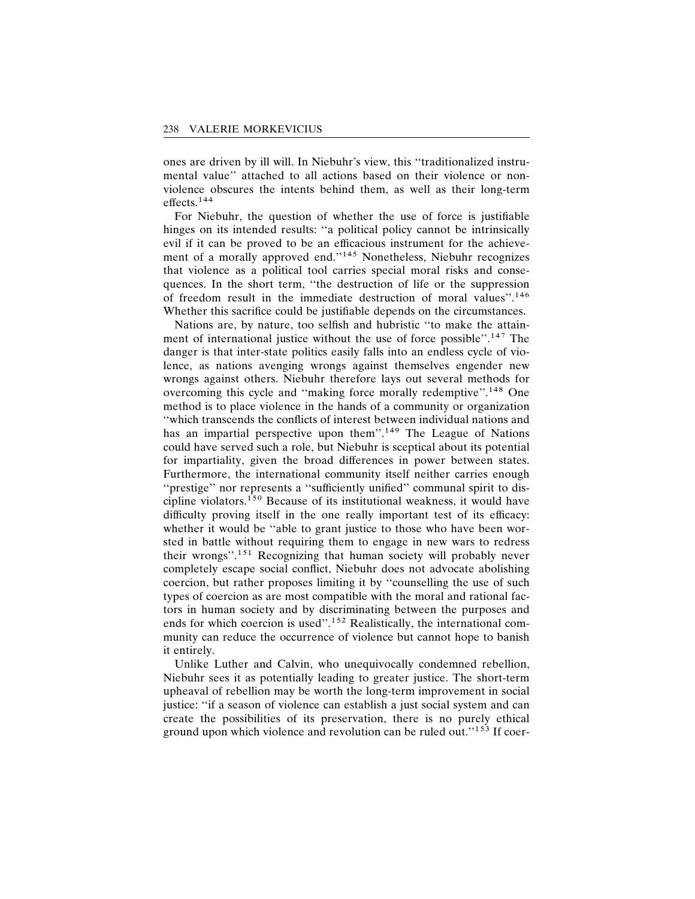ones are driven by ill will. In Niebuhr's view, this ''traditionalized instrumental value'' attached to all actions based on their violence or nonviolence obscures the intents behind them, as well as their long-term effects.144

For Niebuhr, the question of whether the use of force is justifiable hinges on its intended results: "a political policy cannot be intrinsically evil if it can be proved to be an efficacious instrument for the achievement of a morally approved end.''145 Nonetheless, Niebuhr recognizes that violence as a political tool carries special moral risks and consequences. In the short term, ''the destruction of life or the suppression of freedom result in the immediate destruction of moral values".<sup>146</sup> Whether this sacrifice could be justifiable depends on the circumstances.

Nations are, by nature, too selfish and hubristic ''to make the attainment of international justice without the use of force possible".<sup>147</sup> The danger is that inter-state politics easily falls into an endless cycle of violence, as nations avenging wrongs against themselves engender new wrongs against others. Niebuhr therefore lays out several methods for overcoming this cycle and ''making force morally redemptive''.148 One method is to place violence in the hands of a community or organization ''which transcends the conflicts of interest between individual nations and has an impartial perspective upon them<sup>".149</sup> The League of Nations could have served such a role, but Niebuhr is sceptical about its potential for impartiality, given the broad differences in power between states. Furthermore, the international community itself neither carries enough ''prestige'' nor represents a ''sufficiently unified'' communal spirit to discipline violators.150 Because of its institutional weakness, it would have difficulty proving itself in the one really important test of its efficacy: whether it would be "able to grant justice to those who have been worsted in battle without requiring them to engage in new wars to redress their wrongs''.151 Recognizing that human society will probably never completely escape social conflict, Niebuhr does not advocate abolishing coercion, but rather proposes limiting it by ''counselling the use of such types of coercion as are most compatible with the moral and rational factors in human society and by discriminating between the purposes and ends for which coercion is used".<sup>152</sup> Realistically, the international community can reduce the occurrence of violence but cannot hope to banish it entirely.

Unlike Luther and Calvin, who unequivocally condemned rebellion, Niebuhr sees it as potentially leading to greater justice. The short-term upheaval of rebellion may be worth the long-term improvement in social justice: "if a season of violence can establish a just social system and can create the possibilities of its preservation, there is no purely ethical ground upon which violence and revolution can be ruled out.''153 If coer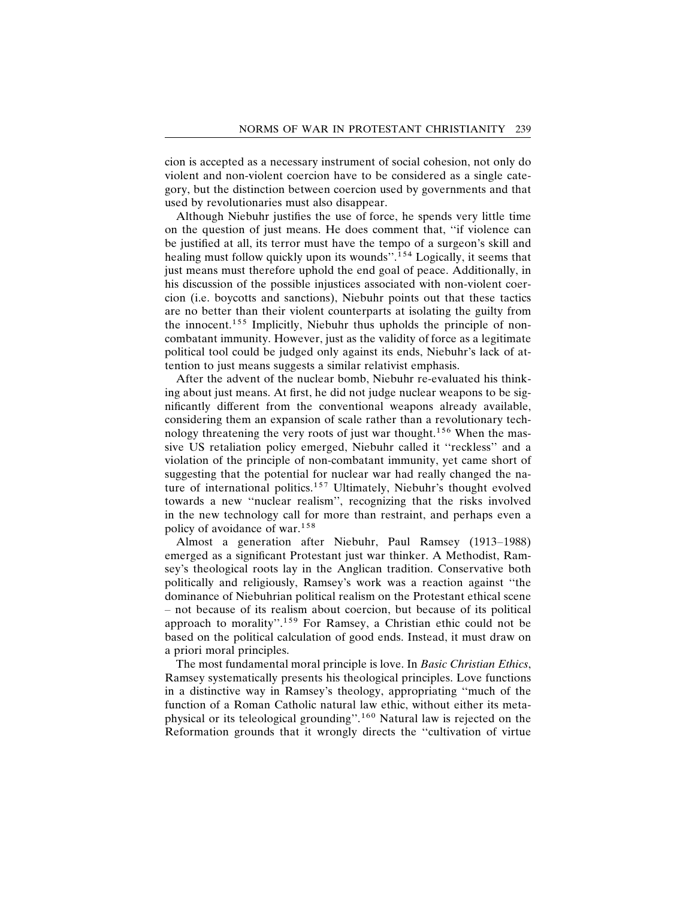cion is accepted as a necessary instrument of social cohesion, not only do violent and non-violent coercion have to be considered as a single category, but the distinction between coercion used by governments and that used by revolutionaries must also disappear.

Although Niebuhr justifies the use of force, he spends very little time on the question of just means. He does comment that, ''if violence can be justified at all, its terror must have the tempo of a surgeon's skill and healing must follow quickly upon its wounds".<sup>154</sup> Logically, it seems that just means must therefore uphold the end goal of peace. Additionally, in his discussion of the possible injustices associated with non-violent coercion (i.e. boycotts and sanctions), Niebuhr points out that these tactics are no better than their violent counterparts at isolating the guilty from the innocent.155 Implicitly, Niebuhr thus upholds the principle of noncombatant immunity. However, just as the validity of force as a legitimate political tool could be judged only against its ends, Niebuhr's lack of attention to just means suggests a similar relativist emphasis.

After the advent of the nuclear bomb, Niebuhr re-evaluated his thinking about just means. At first, he did not judge nuclear weapons to be significantly different from the conventional weapons already available, considering them an expansion of scale rather than a revolutionary technology threatening the very roots of just war thought.<sup>156</sup> When the massive US retaliation policy emerged, Niebuhr called it ''reckless'' and a violation of the principle of non-combatant immunity, yet came short of suggesting that the potential for nuclear war had really changed the nature of international politics.<sup>157</sup> Ultimately, Niebuhr's thought evolved towards a new ''nuclear realism'', recognizing that the risks involved in the new technology call for more than restraint, and perhaps even a policy of avoidance of war.158

Almost a generation after Niebuhr, Paul Ramsey (1913–1988) emerged as a significant Protestant just war thinker. A Methodist, Ramsey's theological roots lay in the Anglican tradition. Conservative both politically and religiously, Ramsey's work was a reaction against ''the dominance of Niebuhrian political realism on the Protestant ethical scene – not because of its realism about coercion, but because of its political approach to morality".<sup>159</sup> For Ramsey, a Christian ethic could not be based on the political calculation of good ends. Instead, it must draw on a priori moral principles.

The most fundamental moral principle is love. In *Basic Christian Ethics*, Ramsey systematically presents his theological principles. Love functions in a distinctive way in Ramsey's theology, appropriating ''much of the function of a Roman Catholic natural law ethic, without either its metaphysical or its teleological grounding''.160 Natural law is rejected on the Reformation grounds that it wrongly directs the ''cultivation of virtue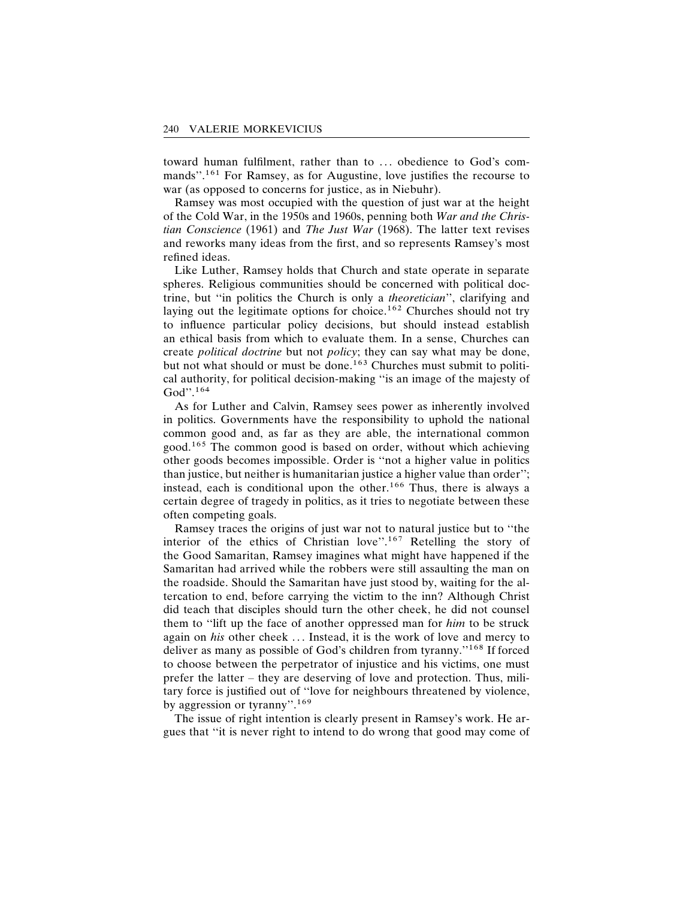toward human fulfilment, rather than to ... obedience to God's commands''.161 For Ramsey, as for Augustine, love justifies the recourse to war (as opposed to concerns for justice, as in Niebuhr).

Ramsey was most occupied with the question of just war at the height of the Cold War, in the 1950s and 1960s, penning both War and the Christian Conscience (1961) and The Just War (1968). The latter text revises and reworks many ideas from the first, and so represents Ramsey's most refined ideas.

Like Luther, Ramsey holds that Church and state operate in separate spheres. Religious communities should be concerned with political doctrine, but ''in politics the Church is only a theoretician'', clarifying and laying out the legitimate options for choice.162 Churches should not try to influence particular policy decisions, but should instead establish an ethical basis from which to evaluate them. In a sense, Churches can create political doctrine but not policy; they can say what may be done, but not what should or must be done.<sup>163</sup> Churches must submit to political authority, for political decision-making ''is an image of the majesty of God''.164

As for Luther and Calvin, Ramsey sees power as inherently involved in politics. Governments have the responsibility to uphold the national common good and, as far as they are able, the international common good.165 The common good is based on order, without which achieving other goods becomes impossible. Order is ''not a higher value in politics than justice, but neither is humanitarian justice a higher value than order''; instead, each is conditional upon the other.166 Thus, there is always a certain degree of tragedy in politics, as it tries to negotiate between these often competing goals.

Ramsey traces the origins of just war not to natural justice but to ''the interior of the ethics of Christian love''.167 Retelling the story of the Good Samaritan, Ramsey imagines what might have happened if the Samaritan had arrived while the robbers were still assaulting the man on the roadside. Should the Samaritan have just stood by, waiting for the altercation to end, before carrying the victim to the inn? Although Christ did teach that disciples should turn the other cheek, he did not counsel them to ''lift up the face of another oppressed man for him to be struck again on his other cheek ... Instead, it is the work of love and mercy to deliver as many as possible of God's children from tyranny.''168 If forced to choose between the perpetrator of injustice and his victims, one must prefer the latter – they are deserving of love and protection. Thus, military force is justified out of ''love for neighbours threatened by violence, by aggression or tyranny''.169

The issue of right intention is clearly present in Ramsey's work. He argues that ''it is never right to intend to do wrong that good may come of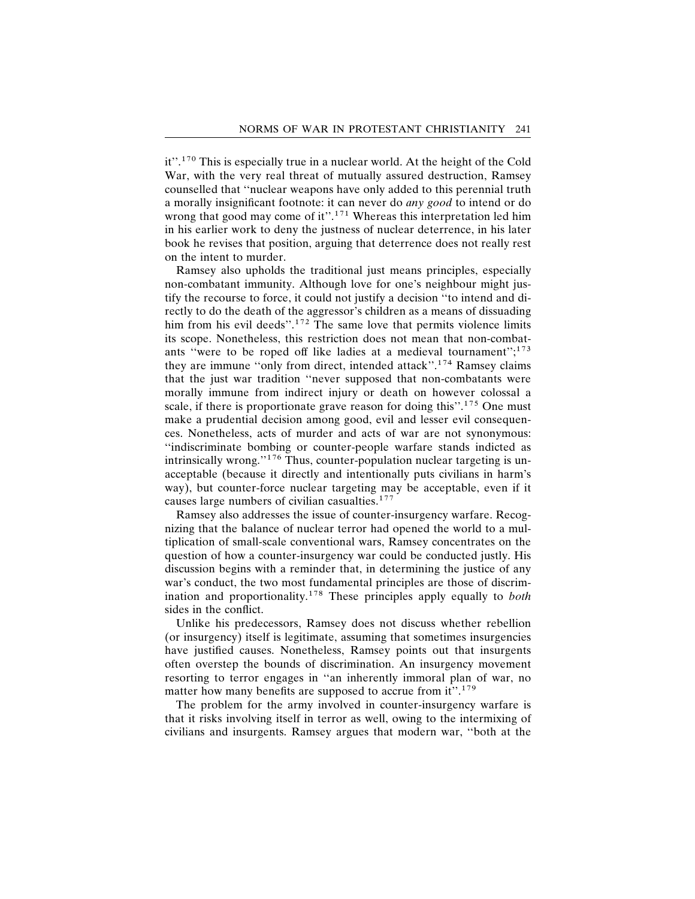it''.170 This is especially true in a nuclear world. At the height of the Cold War, with the very real threat of mutually assured destruction, Ramsey counselled that ''nuclear weapons have only added to this perennial truth a morally insignificant footnote: it can never do any good to intend or do wrong that good may come of it".<sup>171</sup> Whereas this interpretation led him in his earlier work to deny the justness of nuclear deterrence, in his later book he revises that position, arguing that deterrence does not really rest on the intent to murder.

Ramsey also upholds the traditional just means principles, especially non-combatant immunity. Although love for one's neighbour might justify the recourse to force, it could not justify a decision ''to intend and directly to do the death of the aggressor's children as a means of dissuading him from his evil deeds".<sup>172</sup> The same love that permits violence limits its scope. Nonetheless, this restriction does not mean that non-combatants "were to be roped off like ladies at a medieval tournament"; $1^{73}$ they are immune ''only from direct, intended attack''.174 Ramsey claims that the just war tradition ''never supposed that non-combatants were morally immune from indirect injury or death on however colossal a scale, if there is proportionate grave reason for doing this".<sup>175</sup> One must make a prudential decision among good, evil and lesser evil consequences. Nonetheless, acts of murder and acts of war are not synonymous: ''indiscriminate bombing or counter-people warfare stands indicted as intrinsically wrong."<sup>176</sup> Thus, counter-population nuclear targeting is unacceptable (because it directly and intentionally puts civilians in harm's way), but counter-force nuclear targeting may be acceptable, even if it causes large numbers of civilian casualties.<sup>177</sup>

Ramsey also addresses the issue of counter-insurgency warfare. Recognizing that the balance of nuclear terror had opened the world to a multiplication of small-scale conventional wars, Ramsey concentrates on the question of how a counter-insurgency war could be conducted justly. His discussion begins with a reminder that, in determining the justice of any war's conduct, the two most fundamental principles are those of discrimination and proportionality.<sup>178</sup> These principles apply equally to *both* sides in the conflict.

Unlike his predecessors, Ramsey does not discuss whether rebellion (or insurgency) itself is legitimate, assuming that sometimes insurgencies have justified causes. Nonetheless, Ramsey points out that insurgents often overstep the bounds of discrimination. An insurgency movement resorting to terror engages in ''an inherently immoral plan of war, no matter how many benefits are supposed to accrue from it".<sup>179</sup>

The problem for the army involved in counter-insurgency warfare is that it risks involving itself in terror as well, owing to the intermixing of civilians and insurgents. Ramsey argues that modern war, ''both at the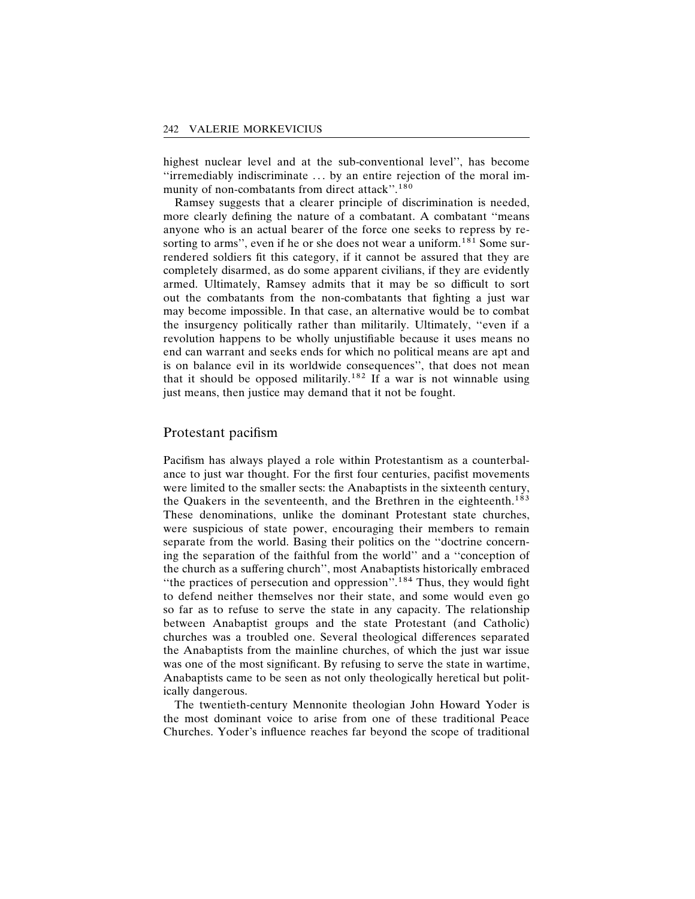highest nuclear level and at the sub-conventional level'', has become ''irremediably indiscriminate . . . by an entire rejection of the moral immunity of non-combatants from direct attack".<sup>180</sup>

Ramsey suggests that a clearer principle of discrimination is needed, more clearly defining the nature of a combatant. A combatant ''means anyone who is an actual bearer of the force one seeks to repress by resorting to arms", even if he or she does not wear a uniform.<sup>181</sup> Some surrendered soldiers fit this category, if it cannot be assured that they are completely disarmed, as do some apparent civilians, if they are evidently armed. Ultimately, Ramsey admits that it may be so difficult to sort out the combatants from the non-combatants that fighting a just war may become impossible. In that case, an alternative would be to combat the insurgency politically rather than militarily. Ultimately, ''even if a revolution happens to be wholly unjustifiable because it uses means no end can warrant and seeks ends for which no political means are apt and is on balance evil in its worldwide consequences'', that does not mean that it should be opposed militarily.<sup>182</sup> If a war is not winnable using just means, then justice may demand that it not be fought.

# Protestant pacifism

Pacifism has always played a role within Protestantism as a counterbalance to just war thought. For the first four centuries, pacifist movements were limited to the smaller sects: the Anabaptists in the sixteenth century, the Quakers in the seventeenth, and the Brethren in the eighteenth.<sup>183</sup> These denominations, unlike the dominant Protestant state churches, were suspicious of state power, encouraging their members to remain separate from the world. Basing their politics on the ''doctrine concerning the separation of the faithful from the world'' and a ''conception of the church as a suffering church'', most Anabaptists historically embraced "the practices of persecution and oppression".<sup>184</sup> Thus, they would fight to defend neither themselves nor their state, and some would even go so far as to refuse to serve the state in any capacity. The relationship between Anabaptist groups and the state Protestant (and Catholic) churches was a troubled one. Several theological differences separated the Anabaptists from the mainline churches, of which the just war issue was one of the most significant. By refusing to serve the state in wartime, Anabaptists came to be seen as not only theologically heretical but politically dangerous.

The twentieth-century Mennonite theologian John Howard Yoder is the most dominant voice to arise from one of these traditional Peace Churches. Yoder's influence reaches far beyond the scope of traditional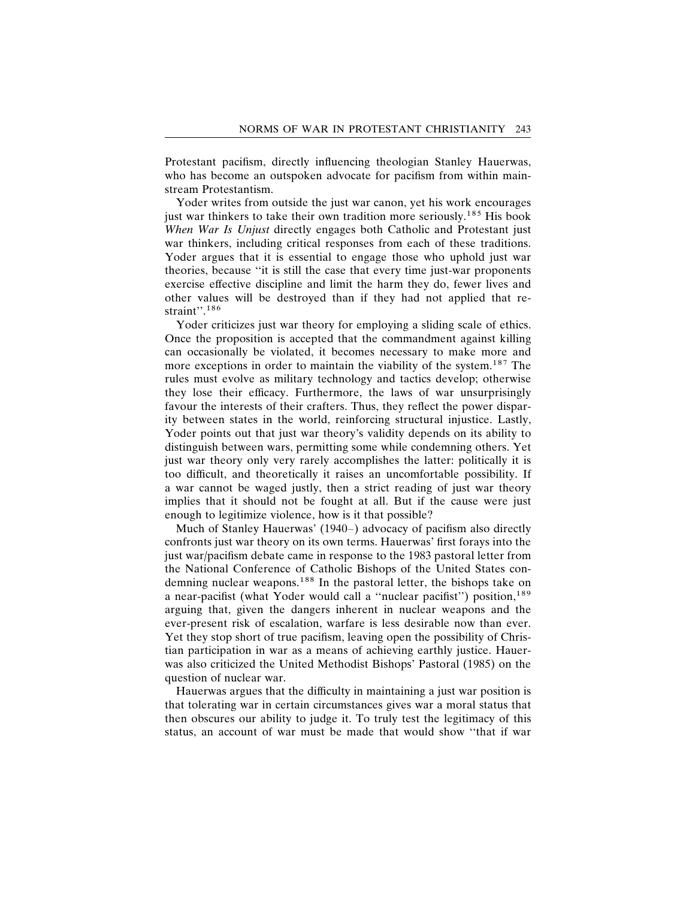Protestant pacifism, directly influencing theologian Stanley Hauerwas, who has become an outspoken advocate for pacifism from within mainstream Protestantism.

Yoder writes from outside the just war canon, yet his work encourages just war thinkers to take their own tradition more seriously.<sup>185</sup> His book When War Is Unjust directly engages both Catholic and Protestant just war thinkers, including critical responses from each of these traditions. Yoder argues that it is essential to engage those who uphold just war theories, because ''it is still the case that every time just-war proponents exercise effective discipline and limit the harm they do, fewer lives and other values will be destroyed than if they had not applied that restraint".<sup>186</sup>

Yoder criticizes just war theory for employing a sliding scale of ethics. Once the proposition is accepted that the commandment against killing can occasionally be violated, it becomes necessary to make more and more exceptions in order to maintain the viability of the system.<sup>187</sup> The rules must evolve as military technology and tactics develop; otherwise they lose their efficacy. Furthermore, the laws of war unsurprisingly favour the interests of their crafters. Thus, they reflect the power disparity between states in the world, reinforcing structural injustice. Lastly, Yoder points out that just war theory's validity depends on its ability to distinguish between wars, permitting some while condemning others. Yet just war theory only very rarely accomplishes the latter: politically it is too difficult, and theoretically it raises an uncomfortable possibility. If a war cannot be waged justly, then a strict reading of just war theory implies that it should not be fought at all. But if the cause were just enough to legitimize violence, how is it that possible?

Much of Stanley Hauerwas' (1940–) advocacy of pacifism also directly confronts just war theory on its own terms. Hauerwas' first forays into the just war/pacifism debate came in response to the 1983 pastoral letter from the National Conference of Catholic Bishops of the United States condemning nuclear weapons.188 In the pastoral letter, the bishops take on a near-pacifist (what Yoder would call a "nuclear pacifist") position, <sup>189</sup> arguing that, given the dangers inherent in nuclear weapons and the ever-present risk of escalation, warfare is less desirable now than ever. Yet they stop short of true pacifism, leaving open the possibility of Christian participation in war as a means of achieving earthly justice. Hauerwas also criticized the United Methodist Bishops' Pastoral (1985) on the question of nuclear war.

Hauerwas argues that the difficulty in maintaining a just war position is that tolerating war in certain circumstances gives war a moral status that then obscures our ability to judge it. To truly test the legitimacy of this status, an account of war must be made that would show ''that if war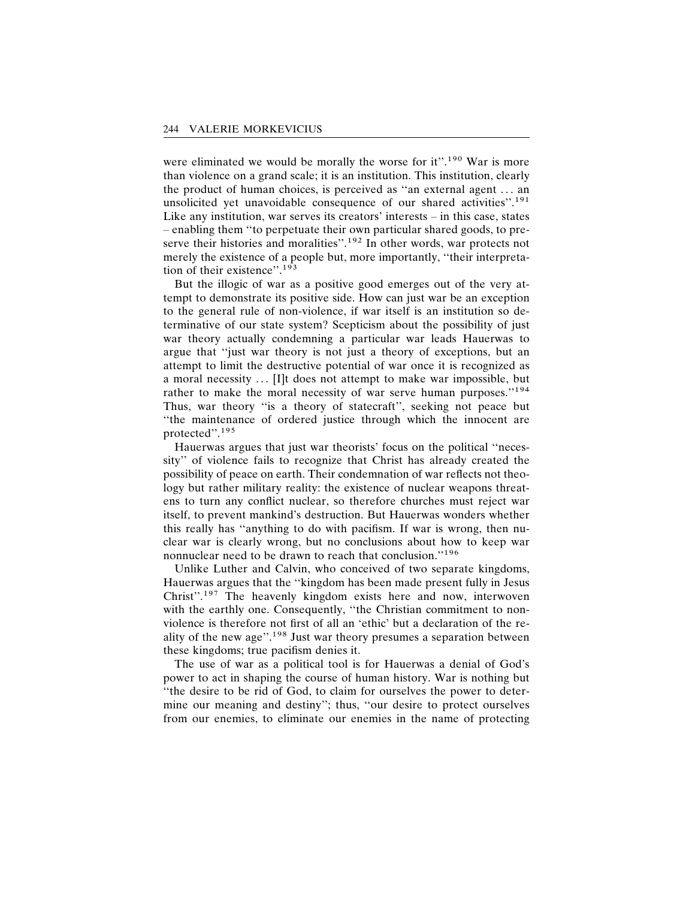were eliminated we would be morally the worse for it".<sup>190</sup> War is more than violence on a grand scale; it is an institution. This institution, clearly the product of human choices, is perceived as ''an external agent . . . an unsolicited yet unavoidable consequence of our shared activities".<sup>191</sup> Like any institution, war serves its creators' interests – in this case, states – enabling them ''to perpetuate their own particular shared goods, to preserve their histories and moralities''.<sup>192</sup> In other words, war protects not merely the existence of a people but, more importantly, ''their interpretation of their existence''.193

But the illogic of war as a positive good emerges out of the very attempt to demonstrate its positive side. How can just war be an exception to the general rule of non-violence, if war itself is an institution so determinative of our state system? Scepticism about the possibility of just war theory actually condemning a particular war leads Hauerwas to argue that ''just war theory is not just a theory of exceptions, but an attempt to limit the destructive potential of war once it is recognized as a moral necessity ... [I]t does not attempt to make war impossible, but rather to make the moral necessity of war serve human purposes."<sup>194</sup> Thus, war theory "is a theory of statecraft", seeking not peace but ''the maintenance of ordered justice through which the innocent are protected''.195

Hauerwas argues that just war theorists' focus on the political ''necessity'' of violence fails to recognize that Christ has already created the possibility of peace on earth. Their condemnation of war reflects not theology but rather military reality: the existence of nuclear weapons threatens to turn any conflict nuclear, so therefore churches must reject war itself, to prevent mankind's destruction. But Hauerwas wonders whether this really has ''anything to do with pacifism. If war is wrong, then nuclear war is clearly wrong, but no conclusions about how to keep war nonnuclear need to be drawn to reach that conclusion."<sup>196</sup>

Unlike Luther and Calvin, who conceived of two separate kingdoms, Hauerwas argues that the ''kingdom has been made present fully in Jesus Christ''.197 The heavenly kingdom exists here and now, interwoven with the earthly one. Consequently, "the Christian commitment to nonviolence is therefore not first of all an 'ethic' but a declaration of the reality of the new age".<sup>198</sup> Just war theory presumes a separation between these kingdoms; true pacifism denies it.

The use of war as a political tool is for Hauerwas a denial of God's power to act in shaping the course of human history. War is nothing but ''the desire to be rid of God, to claim for ourselves the power to determine our meaning and destiny''; thus, ''our desire to protect ourselves from our enemies, to eliminate our enemies in the name of protecting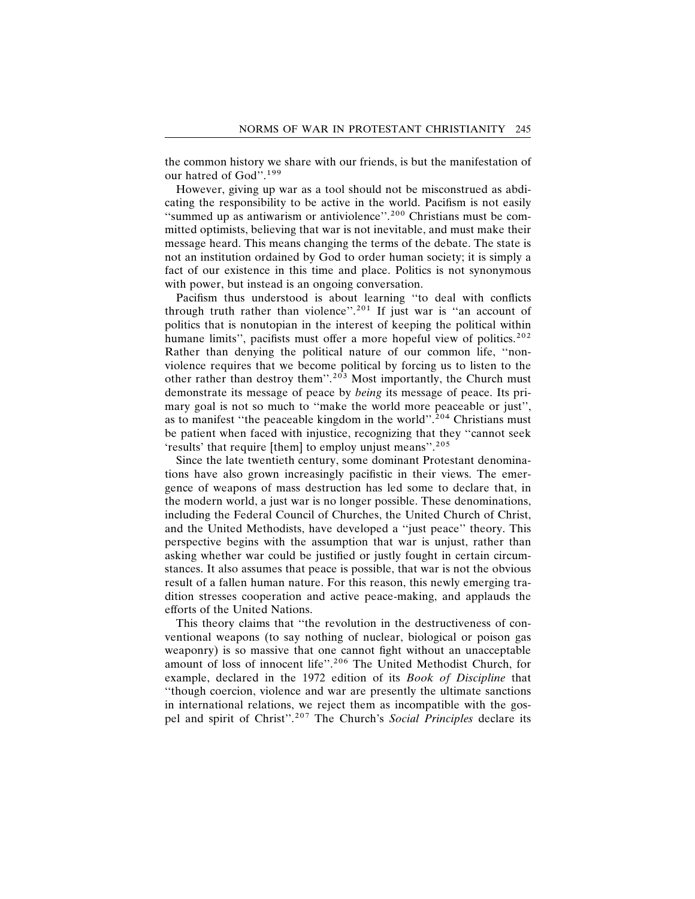the common history we share with our friends, is but the manifestation of our hatred of God''.199

However, giving up war as a tool should not be misconstrued as abdicating the responsibility to be active in the world. Pacifism is not easily "summed up as antiwarism or antiviolence".<sup>200</sup> Christians must be committed optimists, believing that war is not inevitable, and must make their message heard. This means changing the terms of the debate. The state is not an institution ordained by God to order human society; it is simply a fact of our existence in this time and place. Politics is not synonymous with power, but instead is an ongoing conversation.

Pacifism thus understood is about learning ''to deal with conflicts through truth rather than violence".<sup>201</sup> If just war is "an account of politics that is nonutopian in the interest of keeping the political within humane limits", pacifists must offer a more hopeful view of politics.<sup>202</sup> Rather than denying the political nature of our common life, ''nonviolence requires that we become political by forcing us to listen to the other rather than destroy them".<sup>203</sup> Most importantly, the Church must demonstrate its message of peace by being its message of peace. Its primary goal is not so much to ''make the world more peaceable or just'', as to manifest "the peaceable kingdom in the world".<sup>204</sup> Christians must be patient when faced with injustice, recognizing that they ''cannot seek 'results' that require [them] to employ unjust means''.205

Since the late twentieth century, some dominant Protestant denominations have also grown increasingly pacifistic in their views. The emergence of weapons of mass destruction has led some to declare that, in the modern world, a just war is no longer possible. These denominations, including the Federal Council of Churches, the United Church of Christ, and the United Methodists, have developed a ''just peace'' theory. This perspective begins with the assumption that war is unjust, rather than asking whether war could be justified or justly fought in certain circumstances. It also assumes that peace is possible, that war is not the obvious result of a fallen human nature. For this reason, this newly emerging tradition stresses cooperation and active peace-making, and applauds the efforts of the United Nations.

This theory claims that ''the revolution in the destructiveness of conventional weapons (to say nothing of nuclear, biological or poison gas weaponry) is so massive that one cannot fight without an unacceptable amount of loss of innocent life''.206 The United Methodist Church, for example, declared in the 1972 edition of its Book of Discipline that ''though coercion, violence and war are presently the ultimate sanctions in international relations, we reject them as incompatible with the gospel and spirit of Christ".<sup>207</sup> The Church's Social Principles declare its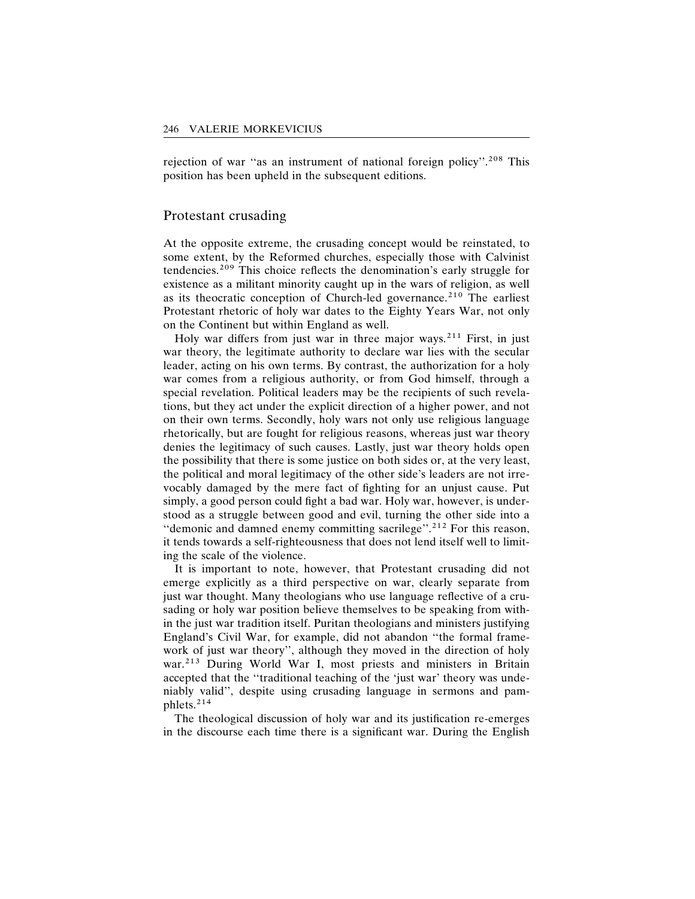rejection of war ''as an instrument of national foreign policy''.208 This position has been upheld in the subsequent editions.

## Protestant crusading

At the opposite extreme, the crusading concept would be reinstated, to some extent, by the Reformed churches, especially those with Calvinist tendencies.209 This choice reflects the denomination's early struggle for existence as a militant minority caught up in the wars of religion, as well as its theocratic conception of Church-led governance.<sup>210</sup> The earliest Protestant rhetoric of holy war dates to the Eighty Years War, not only on the Continent but within England as well.

Holy war differs from just war in three major ways.<sup>211</sup> First, in just war theory, the legitimate authority to declare war lies with the secular leader, acting on his own terms. By contrast, the authorization for a holy war comes from a religious authority, or from God himself, through a special revelation. Political leaders may be the recipients of such revelations, but they act under the explicit direction of a higher power, and not on their own terms. Secondly, holy wars not only use religious language rhetorically, but are fought for religious reasons, whereas just war theory denies the legitimacy of such causes. Lastly, just war theory holds open the possibility that there is some justice on both sides or, at the very least, the political and moral legitimacy of the other side's leaders are not irrevocably damaged by the mere fact of fighting for an unjust cause. Put simply, a good person could fight a bad war. Holy war, however, is understood as a struggle between good and evil, turning the other side into a "demonic and damned enemy committing sacrilege".<sup>212</sup> For this reason, it tends towards a self-righteousness that does not lend itself well to limiting the scale of the violence.

It is important to note, however, that Protestant crusading did not emerge explicitly as a third perspective on war, clearly separate from just war thought. Many theologians who use language reflective of a crusading or holy war position believe themselves to be speaking from within the just war tradition itself. Puritan theologians and ministers justifying England's Civil War, for example, did not abandon ''the formal framework of just war theory'', although they moved in the direction of holy war.<sup>213</sup> During World War I, most priests and ministers in Britain accepted that the ''traditional teaching of the 'just war' theory was undeniably valid'', despite using crusading language in sermons and pamphlets.214

The theological discussion of holy war and its justification re-emerges in the discourse each time there is a significant war. During the English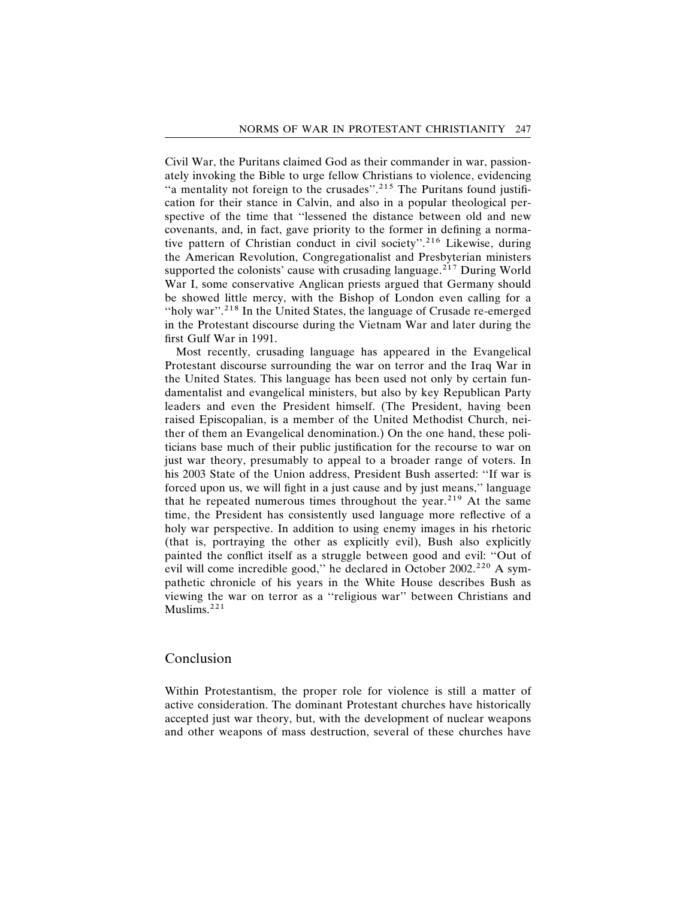Civil War, the Puritans claimed God as their commander in war, passionately invoking the Bible to urge fellow Christians to violence, evidencing "a mentality not foreign to the crusades".<sup>215</sup> The Puritans found justification for their stance in Calvin, and also in a popular theological perspective of the time that ''lessened the distance between old and new covenants, and, in fact, gave priority to the former in defining a normative pattern of Christian conduct in civil society".<sup>216</sup> Likewise, during the American Revolution, Congregationalist and Presbyterian ministers supported the colonists' cause with crusading language.<sup>217</sup> During World War I, some conservative Anglican priests argued that Germany should be showed little mercy, with the Bishop of London even calling for a "holy war".<sup>218</sup> In the United States, the language of Crusade re-emerged in the Protestant discourse during the Vietnam War and later during the first Gulf War in 1991.

Most recently, crusading language has appeared in the Evangelical Protestant discourse surrounding the war on terror and the Iraq War in the United States. This language has been used not only by certain fundamentalist and evangelical ministers, but also by key Republican Party leaders and even the President himself. (The President, having been raised Episcopalian, is a member of the United Methodist Church, neither of them an Evangelical denomination.) On the one hand, these politicians base much of their public justification for the recourse to war on just war theory, presumably to appeal to a broader range of voters. In his 2003 State of the Union address, President Bush asserted: ''If war is forced upon us, we will fight in a just cause and by just means,'' language that he repeated numerous times throughout the year.<sup>219</sup> At the same time, the President has consistently used language more reflective of a holy war perspective. In addition to using enemy images in his rhetoric (that is, portraying the other as explicitly evil), Bush also explicitly painted the conflict itself as a struggle between good and evil: ''Out of evil will come incredible good," he declared in October 2002.<sup>220</sup> A sympathetic chronicle of his years in the White House describes Bush as viewing the war on terror as a ''religious war'' between Christians and Muslims.<sup>221</sup>

# Conclusion

Within Protestantism, the proper role for violence is still a matter of active consideration. The dominant Protestant churches have historically accepted just war theory, but, with the development of nuclear weapons and other weapons of mass destruction, several of these churches have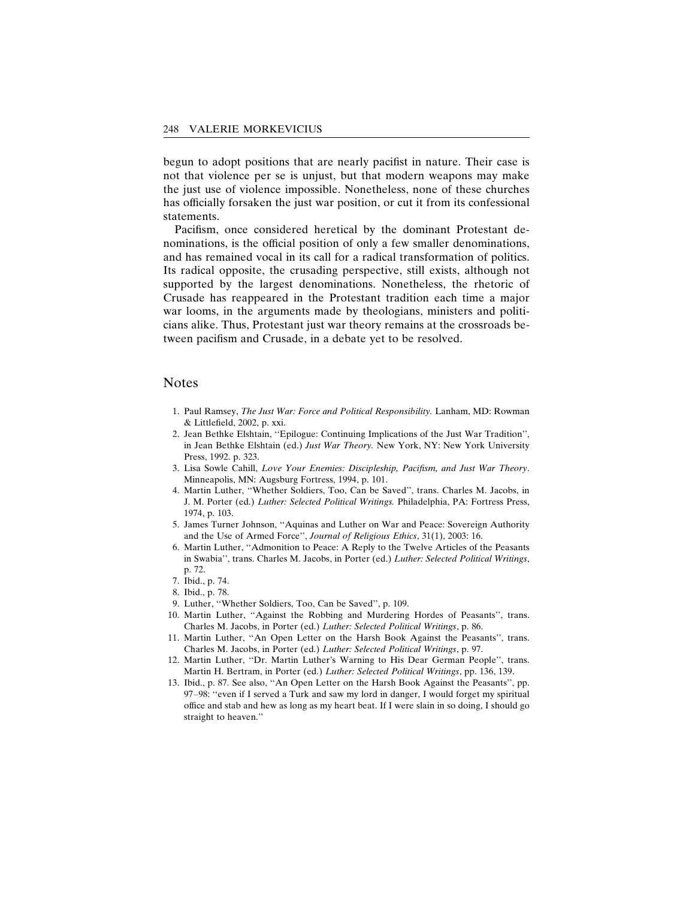begun to adopt positions that are nearly pacifist in nature. Their case is not that violence per se is unjust, but that modern weapons may make the just use of violence impossible. Nonetheless, none of these churches has officially forsaken the just war position, or cut it from its confessional statements.

Pacifism, once considered heretical by the dominant Protestant denominations, is the official position of only a few smaller denominations, and has remained vocal in its call for a radical transformation of politics. Its radical opposite, the crusading perspective, still exists, although not supported by the largest denominations. Nonetheless, the rhetoric of Crusade has reappeared in the Protestant tradition each time a major war looms, in the arguments made by theologians, ministers and politicians alike. Thus, Protestant just war theory remains at the crossroads between pacifism and Crusade, in a debate yet to be resolved.

#### Notes

- 1. Paul Ramsey, The Just War: Force and Political Responsibility. Lanham, MD: Rowman & Littlefield, 2002, p. xxi.
- 2. Jean Bethke Elshtain, ''Epilogue: Continuing Implications of the Just War Tradition'', in Jean Bethke Elshtain (ed.) Just War Theory. New York, NY: New York University Press, 1992. p. 323.
- 3. Lisa Sowle Cahill, Love Your Enemies: Discipleship, Pacifism, and Just War Theory. Minneapolis, MN: Augsburg Fortress, 1994, p. 101.
- 4. Martin Luther, ''Whether Soldiers, Too, Can be Saved'', trans. Charles M. Jacobs, in J. M. Porter (ed.) Luther: Selected Political Writings. Philadelphia, PA: Fortress Press, 1974, p. 103.
- 5. James Turner Johnson, ''Aquinas and Luther on War and Peace: Sovereign Authority and the Use of Armed Force'', Journal of Religious Ethics, 31(1), 2003: 16.
- 6. Martin Luther, ''Admonition to Peace: A Reply to the Twelve Articles of the Peasants in Swabia'', trans. Charles M. Jacobs, in Porter (ed.) Luther: Selected Political Writings, p. 72.
- 7. Ibid., p. 74.
- 8. Ibid., p. 78.
- 9. Luther, ''Whether Soldiers, Too, Can be Saved'', p. 109.
- 10. Martin Luther, ''Against the Robbing and Murdering Hordes of Peasants'', trans. Charles M. Jacobs, in Porter (ed.) Luther: Selected Political Writings, p. 86.
- 11. Martin Luther, ''An Open Letter on the Harsh Book Against the Peasants'', trans. Charles M. Jacobs, in Porter (ed.) Luther: Selected Political Writings, p. 97.
- 12. Martin Luther, ''Dr. Martin Luther's Warning to His Dear German People'', trans. Martin H. Bertram, in Porter (ed.) Luther: Selected Political Writings, pp. 136, 139.
- 13. Ibid., p. 87. See also, ''An Open Letter on the Harsh Book Against the Peasants'', pp. 97–98: ''even if I served a Turk and saw my lord in danger, I would forget my spiritual office and stab and hew as long as my heart beat. If I were slain in so doing, I should go straight to heaven.''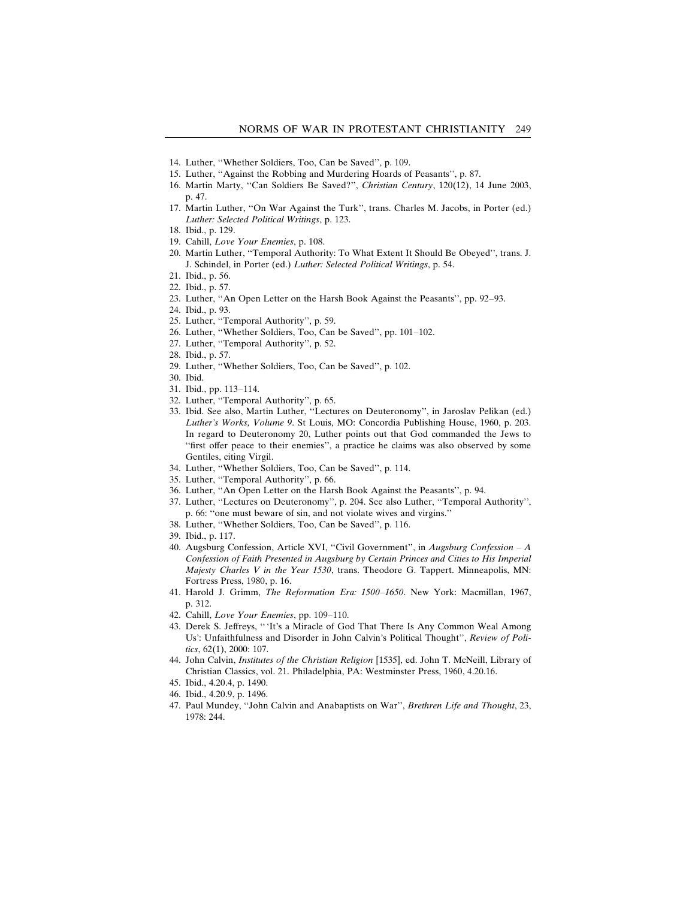- 14. Luther, ''Whether Soldiers, Too, Can be Saved'', p. 109.
- 15. Luther, ''Against the Robbing and Murdering Hoards of Peasants'', p. 87.
- 16. Martin Marty, ''Can Soldiers Be Saved?'', Christian Century, 120(12), 14 June 2003, p. 47.
- 17. Martin Luther, "On War Against the Turk", trans. Charles M. Jacobs, in Porter (ed.) Luther: Selected Political Writings, p. 123.
- 18. Ibid., p. 129.
- 19. Cahill, Love Your Enemies, p. 108.
- 20. Martin Luther, ''Temporal Authority: To What Extent It Should Be Obeyed'', trans. J. J. Schindel, in Porter (ed.) Luther: Selected Political Writings, p. 54.
- 21. Ibid., p. 56.
- 22. Ibid., p. 57.
- 23. Luther, ''An Open Letter on the Harsh Book Against the Peasants'', pp. 92–93.
- 24. Ibid., p. 93.
- 25. Luther, ''Temporal Authority'', p. 59.
- 26. Luther, ''Whether Soldiers, Too, Can be Saved'', pp. 101–102.
- 27. Luther, ''Temporal Authority'', p. 52.
- 28. Ibid., p. 57.
- 29. Luther, ''Whether Soldiers, Too, Can be Saved'', p. 102.
- 30. Ibid.
- 31. Ibid., pp. 113–114.
- 32. Luther, ''Temporal Authority'', p. 65.
- 33. Ibid. See also, Martin Luther, ''Lectures on Deuteronomy'', in Jaroslav Pelikan (ed.) Luther's Works, Volume 9. St Louis, MO: Concordia Publishing House, 1960, p. 203. In regard to Deuteronomy 20, Luther points out that God commanded the Jews to ''first offer peace to their enemies'', a practice he claims was also observed by some Gentiles, citing Virgil.
- 34. Luther, ''Whether Soldiers, Too, Can be Saved'', p. 114.
- 35. Luther, ''Temporal Authority'', p. 66.
- 36. Luther, ''An Open Letter on the Harsh Book Against the Peasants'', p. 94.
- 37. Luther, ''Lectures on Deuteronomy'', p. 204. See also Luther, ''Temporal Authority'', p. 66: ''one must beware of sin, and not violate wives and virgins.''
- 38. Luther, ''Whether Soldiers, Too, Can be Saved'', p. 116.
- 39. Ibid., p. 117.
- 40. Augsburg Confession, Article XVI, "Civil Government", in Augsburg Confession  $A$ Confession of Faith Presented in Augsburg by Certain Princes and Cities to His Imperial *Majesty Charles V in the Year 1530*, trans. Theodore G. Tappert. Minneapolis,  $MN$ : Fortress Press, 1980, p. 16.
- 41. Harold J. Grimm, The Reformation Era: 1500–1650. New York: Macmillan, 1967, p. 312.
- 42. Cahill, Love Your Enemies, pp. 109–110.
- 43. Derek S. Jeffreys, '' 'It's a Miracle of God That There Is Any Common Weal Among Us': Unfaithfulness and Disorder in John Calvin's Political Thought'', Review of Politics, 62(1), 2000: 107.
- 44. John Calvin, *Institutes of the Christian Religion* [1535], ed. John T. McNeill, Library of Christian Classics, vol. 21. Philadelphia, PA: Westminster Press, 1960, 4.20.16.
- 45. Ibid., 4.20.4, p. 1490.
- 46. Ibid., 4.20.9, p. 1496.
- 47. Paul Mundey, "John Calvin and Anabaptists on War", Brethren Life and Thought, 23, 1978: 244.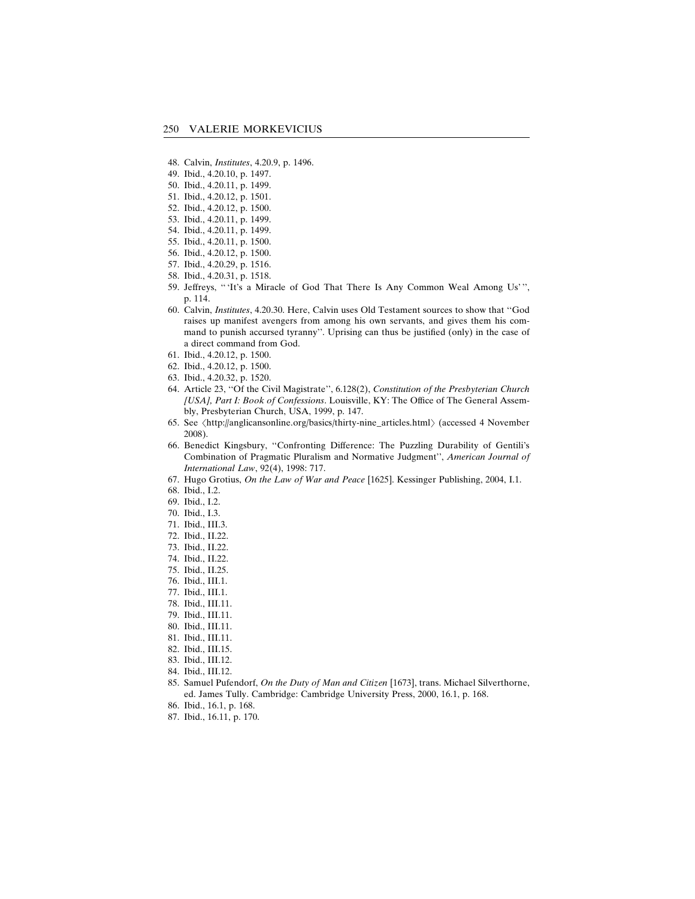- 48. Calvin, Institutes, 4.20.9, p. 1496.
- 49. Ibid., 4.20.10, p. 1497.
- 50. Ibid., 4.20.11, p. 1499.
- 51. Ibid., 4.20.12, p. 1501.
- 52. Ibid., 4.20.12, p. 1500.
- 53. Ibid., 4.20.11, p. 1499.
- 54. Ibid., 4.20.11, p. 1499.
- 55. Ibid., 4.20.11, p. 1500.
- 56. Ibid., 4.20.12, p. 1500.
- 57. Ibid., 4.20.29, p. 1516.
- 58. Ibid., 4.20.31, p. 1518.
- 59. Jeffreys, '' 'It's a Miracle of God That There Is Any Common Weal Among Us' '', p. 114.
- 60. Calvin, Institutes, 4.20.30. Here, Calvin uses Old Testament sources to show that ''God raises up manifest avengers from among his own servants, and gives them his command to punish accursed tyranny''. Uprising can thus be justified (only) in the case of a direct command from God.
- 61. Ibid., 4.20.12, p. 1500.
- 62. Ibid., 4.20.12, p. 1500.
- 63. Ibid., 4.20.32, p. 1520.
- 64. Article 23, ''Of the Civil Magistrate'', 6.128(2), Constitution of the Presbyterian Church [USA], Part I: Book of Confessions. Louisville, KY: The Office of The General Assembly, Presbyterian Church, USA, 1999, p. 147.
- 65. See  $\langle$ http://anglicansonline.org/basics/thirty-nine\_articles.html $\rangle$  (accessed 4 November 2008).
- 66. Benedict Kingsbury, ''Confronting Difference: The Puzzling Durability of Gentili's Combination of Pragmatic Pluralism and Normative Judgment'', American Journal of International Law, 92(4), 1998: 717.
- 67. Hugo Grotius, On the Law of War and Peace [1625]. Kessinger Publishing, 2004, I.1.
- 68. Ibid., I.2.
- 69. Ibid., I.2.
- 70. Ibid., I.3.
- 71. Ibid., III.3.
- 72. Ibid., II.22.
- 
- 73. Ibid., II.22.
- 74. Ibid., II.22.
- 75. Ibid., II.25.
- 76. Ibid., III.1.
- 77. Ibid., III.1.
- 78. Ibid., III.11.
- 79. Ibid., III.11.
- 80. Ibid., III.11.
- 81. Ibid., III.11.
- 82. Ibid., III.15.
- 83. Ibid., III.12.
- 84. Ibid., III.12.
- 85. Samuel Pufendorf, On the Duty of Man and Citizen [1673], trans. Michael Silverthorne, ed. James Tully. Cambridge: Cambridge University Press, 2000, 16.1, p. 168.
- 86. Ibid., 16.1, p. 168.
- 87. Ibid., 16.11, p. 170.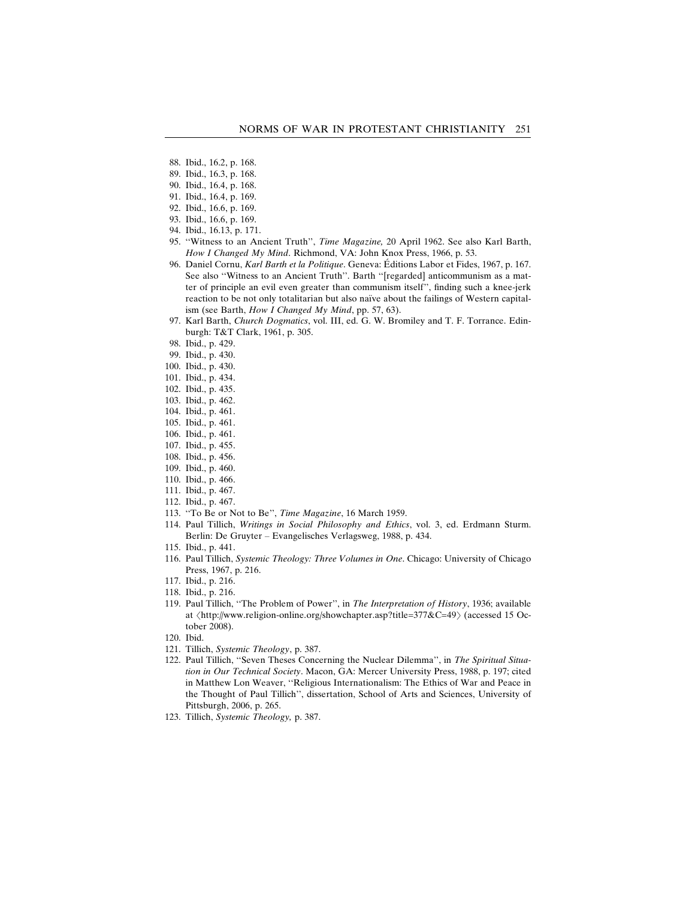- 88. Ibid., 16.2, p. 168.
- 89. Ibid., 16.3, p. 168.
- 90. Ibid., 16.4, p. 168.
- 91. Ibid., 16.4, p. 169.
- 92. Ibid., 16.6, p. 169.
- 93. Ibid., 16.6, p. 169.
- 94. Ibid., 16.13, p. 171.
- 95. ''Witness to an Ancient Truth'', Time Magazine, 20 April 1962. See also Karl Barth, How I Changed My Mind. Richmond, VA: John Knox Press, 1966, p. 53.
- 96. Daniel Cornu, Karl Barth et la Politique. Geneva: Éditions Labor et Fides, 1967, p. 167. See also ''Witness to an Ancient Truth''. Barth ''[regarded] anticommunism as a matter of principle an evil even greater than communism itself'', finding such a knee-jerk reaction to be not only totalitarian but also naïve about the failings of Western capitalism (see Barth, How I Changed My Mind, pp. 57, 63).
- 97. Karl Barth, Church Dogmatics, vol. III, ed. G. W. Bromiley and T. F. Torrance. Edinburgh: T&T Clark, 1961, p. 305.
- 98. Ibid., p. 429.
- 99. Ibid., p. 430.
- 100. Ibid., p. 430.
- 101. Ibid., p. 434.
- 102. Ibid., p. 435.
- 103. Ibid., p. 462.
- 104. Ibid., p. 461.
- 105. Ibid., p. 461.
- 106. Ibid., p. 461.
- 107. Ibid., p. 455.
- 108. Ibid., p. 456.
- 109. Ibid., p. 460.
- 110. Ibid., p. 466.
- 111. Ibid., p. 467.
- 112. Ibid., p. 467.
- 113. ''To Be or Not to Be'', Time Magazine, 16 March 1959.
- 114. Paul Tillich, Writings in Social Philosophy and Ethics, vol. 3, ed. Erdmann Sturm. Berlin: De Gruyter – Evangelisches Verlagsweg, 1988, p. 434.
- 115. Ibid., p. 441.
- 116. Paul Tillich, Systemic Theology: Three Volumes in One. Chicago: University of Chicago Press, 1967, p. 216.
- 117. Ibid., p. 216.
- 118. Ibid., p. 216.
- 119. Paul Tillich, ''The Problem of Power'', in The Interpretation of History, 1936; available at  $\langle$ http://www.religion-online.org/showchapter.asp?title=377&C=49 $\rangle$  (accessed 15 October 2008).
- 120. Ibid.
- 121. Tillich, Systemic Theology, p. 387.
- 122. Paul Tillich, "Seven Theses Concerning the Nuclear Dilemma", in The Spiritual Situation in Our Technical Society. Macon, GA: Mercer University Press, 1988, p. 197; cited in Matthew Lon Weaver, ''Religious Internationalism: The Ethics of War and Peace in the Thought of Paul Tillich'', dissertation, School of Arts and Sciences, University of Pittsburgh, 2006, p. 265.
- 123. Tillich, Systemic Theology, p. 387.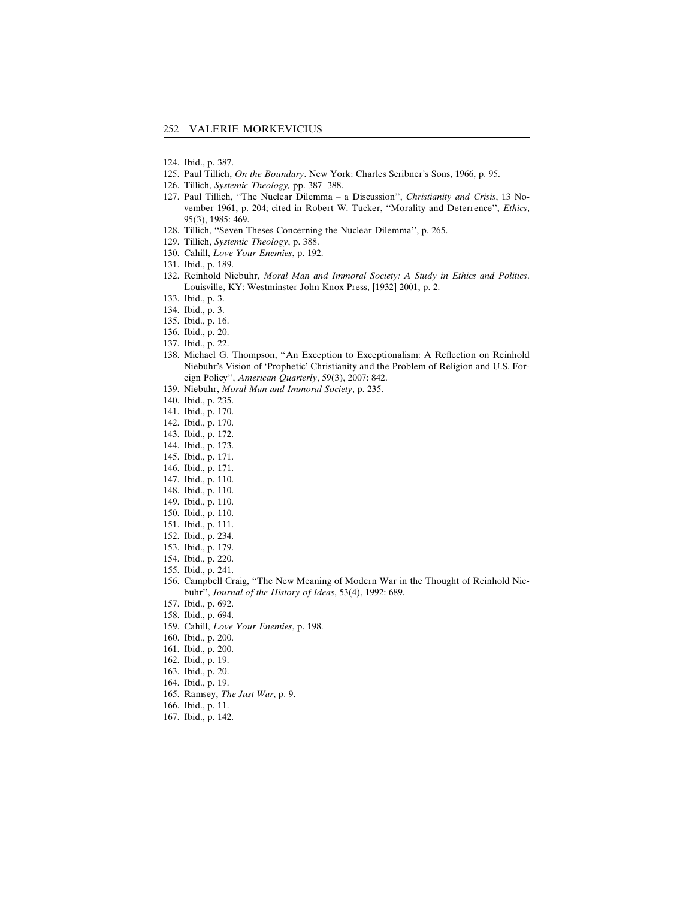- 124. Ibid., p. 387.
- 125. Paul Tillich, On the Boundary. New York: Charles Scribner's Sons, 1966, p. 95.
- 126. Tillich, Systemic Theology, pp. 387–388.
- 127. Paul Tillich, "The Nuclear Dilemma a Discussion", Christianity and Crisis, 13 November 1961, p. 204; cited in Robert W. Tucker, ''Morality and Deterrence'', Ethics, 95(3), 1985: 469.
- 128. Tillich, ''Seven Theses Concerning the Nuclear Dilemma'', p. 265.
- 129. Tillich, Systemic Theology, p. 388.
- 130. Cahill, Love Your Enemies, p. 192.
- 131. Ibid., p. 189.
- 132. Reinhold Niebuhr, Moral Man and Immoral Society: A Study in Ethics and Politics. Louisville, KY: Westminster John Knox Press, [1932] 2001, p. 2.
- 133. Ibid., p. 3.
- 134. Ibid., p. 3.
- 135. Ibid., p. 16.
- 136. Ibid., p. 20.
- 137. Ibid., p. 22.
- 138. Michael G. Thompson, ''An Exception to Exceptionalism: A Reflection on Reinhold Niebuhr's Vision of 'Prophetic' Christianity and the Problem of Religion and U.S. Foreign Policy'', American Quarterly, 59(3), 2007: 842.
- 139. Niebuhr, Moral Man and Immoral Society, p. 235.
- 140. Ibid., p. 235.
- 141. Ibid., p. 170.
- 142. Ibid., p. 170.
- 143. Ibid., p. 172.
- 144. Ibid., p. 173.
- 145. Ibid., p. 171.
- 146. Ibid., p. 171.
- 147. Ibid., p. 110.
- 148. Ibid., p. 110.
- 149. Ibid., p. 110.
- 150. Ibid., p. 110.
- 151. Ibid., p. 111.
- 
- 152. Ibid., p. 234.
- 153. Ibid., p. 179.
- 154. Ibid., p. 220.
- 155. Ibid., p. 241.
- 156. Campbell Craig, ''The New Meaning of Modern War in the Thought of Reinhold Niebuhr'', Journal of the History of Ideas, 53(4), 1992: 689.
- 157. Ibid., p. 692.
- 158. Ibid., p. 694.
- 159. Cahill, Love Your Enemies, p. 198.
- 160. Ibid., p. 200.
- 161. Ibid., p. 200.
- 162. Ibid., p. 19.
- 163. Ibid., p. 20.
- 164. Ibid., p. 19.
- 
- 165. Ramsey, The Just War, p. 9.
- 166. Ibid., p. 11.
- 167. Ibid., p. 142.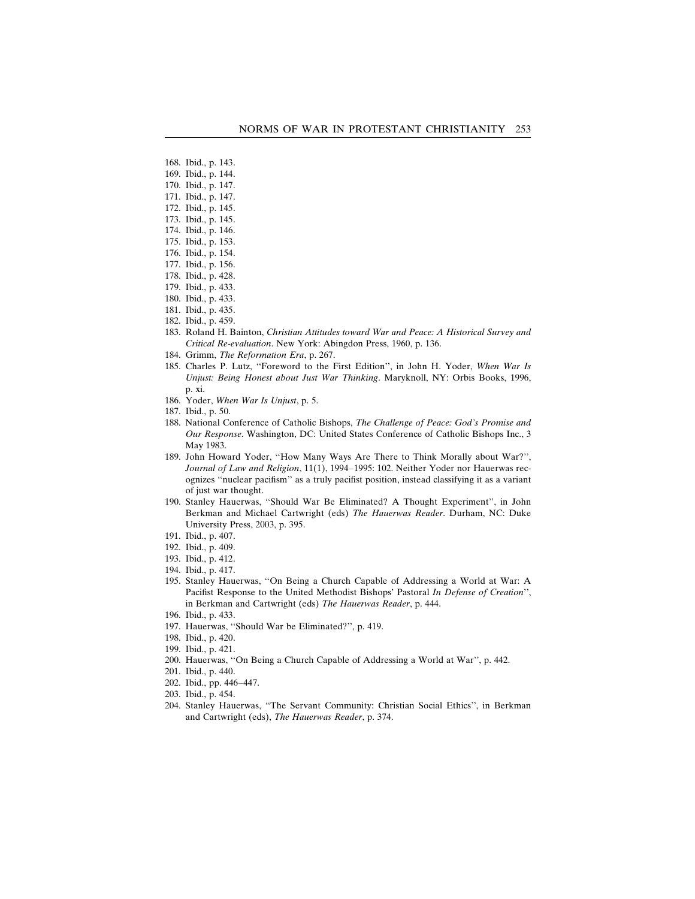- 169. Ibid., p. 144. 170. Ibid., p. 147.
- 
- 171. Ibid., p. 147. 172. Ibid., p. 145.
- 173. Ibid., p. 145.
- 174. Ibid., p. 146.
- 175. Ibid., p. 153.
- 176. Ibid., p. 154.
- 177. Ibid., p. 156.
- 178. Ibid., p. 428.
- 179. Ibid., p. 433.
- 180. Ibid., p. 433.
- 181. Ibid., p. 435.
- 182. Ibid., p. 459.
- 183. Roland H. Bainton, Christian Attitudes toward War and Peace: A Historical Survey and Critical Re-evaluation. New York: Abingdon Press, 1960, p. 136.
- 184. Grimm, The Reformation Era, p. 267.
- 185. Charles P. Lutz, ''Foreword to the First Edition'', in John H. Yoder, When War Is Unjust: Being Honest about Just War Thinking. Maryknoll, NY: Orbis Books, 1996, p. xi.
- 186. Yoder, When War Is Unjust, p. 5.
- 187. Ibid., p. 50.
- 188. National Conference of Catholic Bishops, The Challenge of Peace: God's Promise and Our Response. Washington, DC: United States Conference of Catholic Bishops Inc., 3 May 1983.
- 189. John Howard Yoder, ''How Many Ways Are There to Think Morally about War?'', Journal of Law and Religion, 11(1), 1994–1995: 102. Neither Yoder nor Hauerwas recognizes ''nuclear pacifism'' as a truly pacifist position, instead classifying it as a variant of just war thought.
- 190. Stanley Hauerwas, ''Should War Be Eliminated? A Thought Experiment'', in John Berkman and Michael Cartwright (eds) The Hauerwas Reader. Durham, NC: Duke University Press, 2003, p. 395.
- 191. Ibid., p. 407.
- 192. Ibid., p. 409.
- 193. Ibid., p. 412.
- 194. Ibid., p. 417.
- 195. Stanley Hauerwas, ''On Being a Church Capable of Addressing a World at War: A Pacifist Response to the United Methodist Bishops' Pastoral In Defense of Creation'', in Berkman and Cartwright (eds) The Hauerwas Reader, p. 444.
- 196. Ibid., p. 433.
- 197. Hauerwas, ''Should War be Eliminated?'', p. 419.
- 198. Ibid., p. 420.
- 199. Ibid., p. 421.
- 200. Hauerwas, ''On Being a Church Capable of Addressing a World at War'', p. 442.
- 201. Ibid., p. 440.
- 202. Ibid., pp. 446–447.
- 203. Ibid., p. 454.
- 204. Stanley Hauerwas, ''The Servant Community: Christian Social Ethics'', in Berkman and Cartwright (eds), The Hauerwas Reader, p. 374.

<sup>168.</sup> Ibid., p. 143.